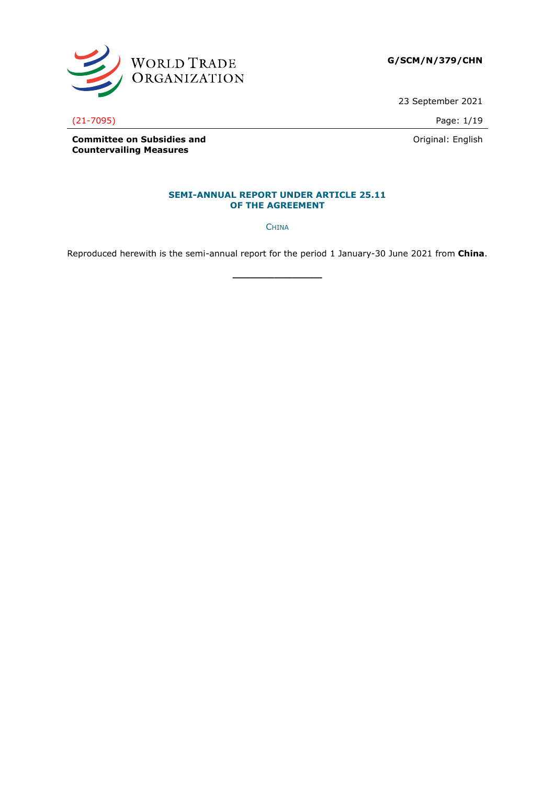

**G/SCM/N/379/CHN**

23 September 2021

(21-7095) Page: 1/19

Original: English

**Committee on Subsidies and Countervailing Measures**

#### **SEMI-ANNUAL REPORT UNDER ARTICLE 25.11 OF THE AGREEMENT**

**CHINA** 

Reproduced herewith is the semi-annual report for the period 1 January-30 June 2021 from **China**.

**\_\_\_\_\_\_\_\_\_\_\_\_\_\_\_**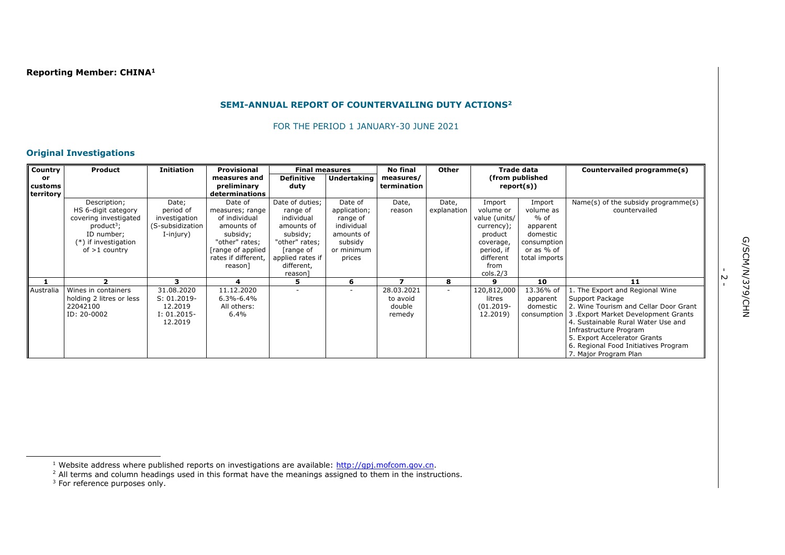## **SEMI-ANNUAL REPORT OF COUNTERVAILING DUTY ACTIONS<sup>2</sup>**

FOR THE PERIOD 1 JANUARY-30 JUNE 2021

### **Original Investigations**

| Country   | Product                  | Initiation       | Provisional                   | <b>Final measures</b> |                    | <b>No final</b> | <b>Other</b> |               | Trade data      | Countervailed programme(s)                      |
|-----------|--------------------------|------------------|-------------------------------|-----------------------|--------------------|-----------------|--------------|---------------|-----------------|-------------------------------------------------|
| or        |                          |                  | measures and                  | <b>Definitive</b>     | <b>Undertaking</b> | measures/       |              |               | (from published |                                                 |
| customs   |                          |                  | preliminary<br>determinations | duty                  |                    | termination     |              |               | report(s))      |                                                 |
| territory | Description;             | Date;            | Date of                       | Date of duties;       | Date of            | Date,           | Date,        | Import        | Import          | Name(s) of the subsidy programme(s)             |
|           | HS 6-digit category      | period of        | measures; range               | range of              | application;       | reason          | explanation  | volume or     | volume as       | countervailed                                   |
|           | covering investigated    | investigation    | of individual                 | individual            | range of           |                 |              | value (units/ | $%$ of          |                                                 |
|           | $product^3$ ;            | (S-subsidization | amounts of                    | amounts of            | individual         |                 |              | currency);    | apparent        |                                                 |
|           | ID number;               | I-injury)        | subsidy;                      | subsidy;              | amounts of         |                 |              | product       | domestic        |                                                 |
|           | (*) if investigation     |                  | "other" rates;                | "other" rates;        | subsidy            |                 |              | coverage,     | consumption     |                                                 |
|           | of $>1$ country          |                  | [range of applied             | range of              | or minimum         |                 |              | period, if    | or as % of      |                                                 |
|           |                          |                  | rates if different.           | applied rates if      | prices             |                 |              | different     | total imports   |                                                 |
|           |                          |                  | reason]                       | different,            |                    |                 |              | from          |                 |                                                 |
|           |                          | 3                | 4                             | reason]               | 6                  |                 | 8            | cols.2/3<br>9 | 10              | 11                                              |
| Australia | Wines in containers      | 31.08.2020       | 11.12.2020                    |                       |                    | 28.03.2021      | $\sim$       | 120,812,000   | 13.36% of       | 1. The Export and Regional Wine                 |
|           | holding 2 litres or less | $S: 01.2019 -$   | $6.3\% - 6.4\%$               |                       |                    | to avoid        |              | litres        | apparent        | Support Package                                 |
|           | 22042100                 | 12.2019          | All others:                   |                       |                    | double          |              | $(01.2019 -$  | domestic        | 2. Wine Tourism and Cellar Door Grant           |
|           | ID: 20-0002              | $I: 01.2015 -$   | 6.4%                          |                       |                    | remedy          |              | 12.2019)      |                 | consumption 3. Export Market Development Grants |
|           |                          | 12.2019          |                               |                       |                    |                 |              |               |                 | 4. Sustainable Rural Water Use and              |
|           |                          |                  |                               |                       |                    |                 |              |               |                 | Infrastructure Program                          |
|           |                          |                  |                               |                       |                    |                 |              |               |                 | 5. Export Accelerator Grants                    |
|           |                          |                  |                               |                       |                    |                 |              |               |                 | 6. Regional Food Initiatives Program            |
|           |                          |                  |                               |                       |                    |                 |              |               |                 | 7. Major Program Plan                           |

-<br>- 2

<sup>&</sup>lt;sup>1</sup> Website address where published reports on investigations are available: http://qpj.mofcom.gov.cn.

 $<sup>2</sup>$  All terms and column headings used in this format have the meanings assigned to them in the instructions.</sup>

 $3$  For reference purposes only.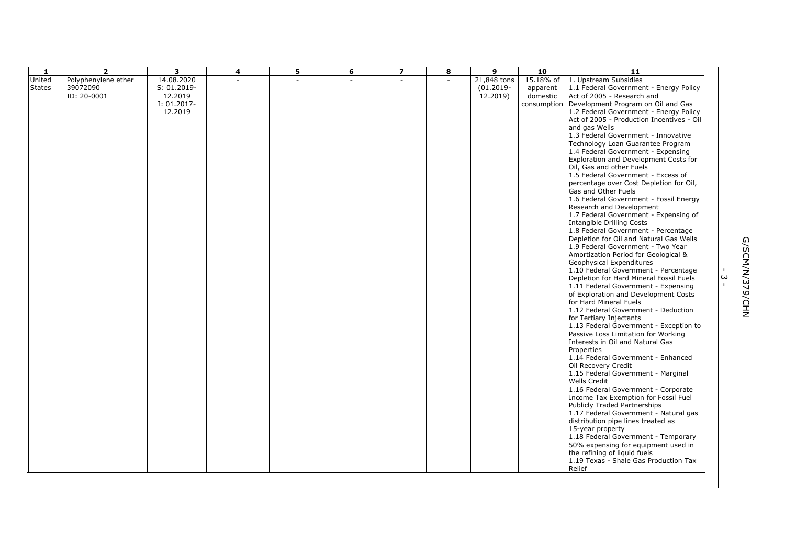| 1             | $\overline{2}$      | 3              | 4 | 5 | 6              | $\overline{\mathbf{z}}$ | 8                        | 9            | 10        | $\overline{11}$                                                         |                   |              |
|---------------|---------------------|----------------|---|---|----------------|-------------------------|--------------------------|--------------|-----------|-------------------------------------------------------------------------|-------------------|--------------|
| United        | Polyphenylene ether | 14.08.2020     |   |   | $\overline{a}$ | $\overline{a}$          | $\overline{\phantom{a}}$ | 21,848 tons  | 15.18% of | 1. Upstream Subsidies                                                   |                   |              |
| <b>States</b> | 39072090            | $S: 01.2019 -$ |   |   |                |                         |                          | $(01.2019 -$ | apparent  | 1.1 Federal Government - Energy Policy                                  |                   |              |
|               | ID: 20-0001         | 12.2019        |   |   |                |                         |                          | 12.2019)     | domestic  | Act of 2005 - Research and                                              |                   |              |
|               |                     | I: 01.2017-    |   |   |                |                         |                          |              |           | consumption   Development Program on Oil and Gas                        |                   |              |
|               |                     | 12.2019        |   |   |                |                         |                          |              |           | 1.2 Federal Government - Energy Policy                                  |                   |              |
|               |                     |                |   |   |                |                         |                          |              |           | Act of 2005 - Production Incentives - Oil                               |                   |              |
|               |                     |                |   |   |                |                         |                          |              |           | and gas Wells                                                           |                   |              |
|               |                     |                |   |   |                |                         |                          |              |           | 1.3 Federal Government - Innovative                                     |                   |              |
|               |                     |                |   |   |                |                         |                          |              |           | Technology Loan Guarantee Program                                       |                   |              |
|               |                     |                |   |   |                |                         |                          |              |           | 1.4 Federal Government - Expensing                                      |                   |              |
|               |                     |                |   |   |                |                         |                          |              |           | Exploration and Development Costs for                                   |                   |              |
|               |                     |                |   |   |                |                         |                          |              |           | Oil, Gas and other Fuels                                                |                   |              |
|               |                     |                |   |   |                |                         |                          |              |           | 1.5 Federal Government - Excess of                                      |                   |              |
|               |                     |                |   |   |                |                         |                          |              |           | percentage over Cost Depletion for Oil,                                 |                   |              |
|               |                     |                |   |   |                |                         |                          |              |           | Gas and Other Fuels                                                     |                   |              |
|               |                     |                |   |   |                |                         |                          |              |           | 1.6 Federal Government - Fossil Energy                                  |                   |              |
|               |                     |                |   |   |                |                         |                          |              |           | Research and Development                                                |                   |              |
|               |                     |                |   |   |                |                         |                          |              |           | 1.7 Federal Government - Expensing of                                   |                   |              |
|               |                     |                |   |   |                |                         |                          |              |           | <b>Intangible Drilling Costs</b>                                        |                   |              |
|               |                     |                |   |   |                |                         |                          |              |           | 1.8 Federal Government - Percentage                                     |                   |              |
|               |                     |                |   |   |                |                         |                          |              |           | Depletion for Oil and Natural Gas Wells                                 |                   |              |
|               |                     |                |   |   |                |                         |                          |              |           | 1.9 Federal Government - Two Year                                       |                   |              |
|               |                     |                |   |   |                |                         |                          |              |           | Amortization Period for Geological &                                    |                   |              |
|               |                     |                |   |   |                |                         |                          |              |           | Geophysical Expenditures                                                |                   |              |
|               |                     |                |   |   |                |                         |                          |              |           | 1.10 Federal Government - Percentage                                    |                   |              |
|               |                     |                |   |   |                |                         |                          |              |           | Depletion for Hard Mineral Fossil Fuels                                 | ω<br>$\mathbf{L}$ |              |
|               |                     |                |   |   |                |                         |                          |              |           | 1.11 Federal Government - Expensing                                     |                   | 3/SCM/M/379/ |
|               |                     |                |   |   |                |                         |                          |              |           | of Exploration and Development Costs                                    |                   |              |
|               |                     |                |   |   |                |                         |                          |              |           | for Hard Mineral Fuels                                                  |                   |              |
|               |                     |                |   |   |                |                         |                          |              |           | 1.12 Federal Government - Deduction                                     |                   | CHN<br>NH    |
|               |                     |                |   |   |                |                         |                          |              |           | for Tertiary Injectants                                                 |                   |              |
|               |                     |                |   |   |                |                         |                          |              |           | 1.13 Federal Government - Exception to                                  |                   |              |
|               |                     |                |   |   |                |                         |                          |              |           | Passive Loss Limitation for Working<br>Interests in Oil and Natural Gas |                   |              |
|               |                     |                |   |   |                |                         |                          |              |           | Properties                                                              |                   |              |
|               |                     |                |   |   |                |                         |                          |              |           | 1.14 Federal Government - Enhanced                                      |                   |              |
|               |                     |                |   |   |                |                         |                          |              |           | Oil Recovery Credit                                                     |                   |              |
|               |                     |                |   |   |                |                         |                          |              |           | 1.15 Federal Government - Marginal                                      |                   |              |
|               |                     |                |   |   |                |                         |                          |              |           | <b>Wells Credit</b>                                                     |                   |              |
|               |                     |                |   |   |                |                         |                          |              |           | 1.16 Federal Government - Corporate                                     |                   |              |
|               |                     |                |   |   |                |                         |                          |              |           | Income Tax Exemption for Fossil Fuel                                    |                   |              |
|               |                     |                |   |   |                |                         |                          |              |           | Publicly Traded Partnerships                                            |                   |              |
|               |                     |                |   |   |                |                         |                          |              |           | 1.17 Federal Government - Natural gas                                   |                   |              |
|               |                     |                |   |   |                |                         |                          |              |           | distribution pipe lines treated as                                      |                   |              |
|               |                     |                |   |   |                |                         |                          |              |           | 15-year property                                                        |                   |              |
|               |                     |                |   |   |                |                         |                          |              |           | 1.18 Federal Government - Temporary                                     |                   |              |
|               |                     |                |   |   |                |                         |                          |              |           | 50% expensing for equipment used in                                     |                   |              |
|               |                     |                |   |   |                |                         |                          |              |           | the refining of liquid fuels                                            |                   |              |
|               |                     |                |   |   |                |                         |                          |              |           | 1.19 Texas - Shale Gas Production Tax                                   |                   |              |
|               |                     |                |   |   |                |                         |                          |              |           | Relief                                                                  |                   |              |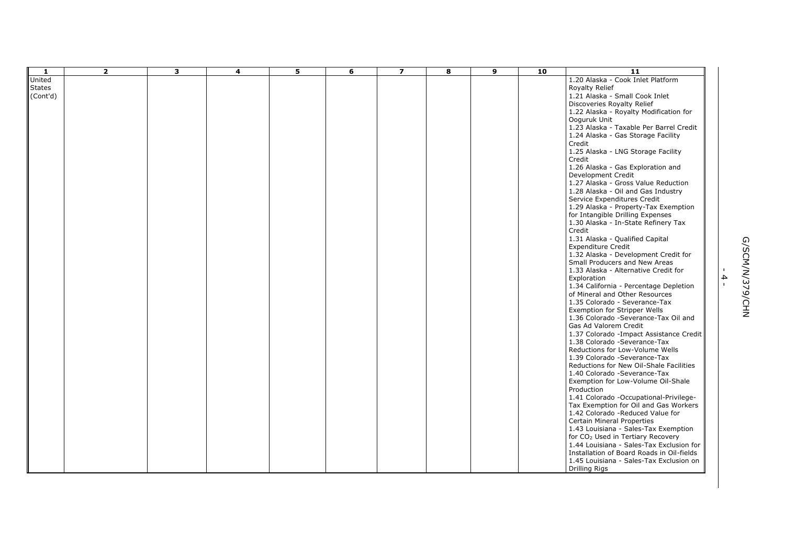| -1            | $\overline{\mathbf{2}}$ | 3 | 4 | 5 | 6 | $\overline{\mathbf{z}}$ | 8 | 9 | 10 | $\overline{11}$                               |              |                 |
|---------------|-------------------------|---|---|---|---|-------------------------|---|---|----|-----------------------------------------------|--------------|-----------------|
| United        |                         |   |   |   |   |                         |   |   |    | 1.20 Alaska - Cook Inlet Platform             |              |                 |
| <b>States</b> |                         |   |   |   |   |                         |   |   |    | Royalty Relief                                |              |                 |
| (Cont'd)      |                         |   |   |   |   |                         |   |   |    | 1.21 Alaska - Small Cook Inlet                |              |                 |
|               |                         |   |   |   |   |                         |   |   |    | Discoveries Royalty Relief                    |              |                 |
|               |                         |   |   |   |   |                         |   |   |    | 1.22 Alaska - Royalty Modification for        |              |                 |
|               |                         |   |   |   |   |                         |   |   |    | Ooguruk Unit                                  |              |                 |
|               |                         |   |   |   |   |                         |   |   |    | 1.23 Alaska - Taxable Per Barrel Credit       |              |                 |
|               |                         |   |   |   |   |                         |   |   |    | 1.24 Alaska - Gas Storage Facility            |              |                 |
|               |                         |   |   |   |   |                         |   |   |    | Credit                                        |              |                 |
|               |                         |   |   |   |   |                         |   |   |    | 1.25 Alaska - LNG Storage Facility            |              |                 |
|               |                         |   |   |   |   |                         |   |   |    | Credit                                        |              |                 |
|               |                         |   |   |   |   |                         |   |   |    | 1.26 Alaska - Gas Exploration and             |              |                 |
|               |                         |   |   |   |   |                         |   |   |    | Development Credit                            |              |                 |
|               |                         |   |   |   |   |                         |   |   |    | 1.27 Alaska - Gross Value Reduction           |              |                 |
|               |                         |   |   |   |   |                         |   |   |    | 1.28 Alaska - Oil and Gas Industry            |              |                 |
|               |                         |   |   |   |   |                         |   |   |    | Service Expenditures Credit                   |              |                 |
|               |                         |   |   |   |   |                         |   |   |    | 1.29 Alaska - Property-Tax Exemption          |              |                 |
|               |                         |   |   |   |   |                         |   |   |    | for Intangible Drilling Expenses              |              |                 |
|               |                         |   |   |   |   |                         |   |   |    | 1.30 Alaska - In-State Refinery Tax           |              |                 |
|               |                         |   |   |   |   |                         |   |   |    | Credit                                        |              |                 |
|               |                         |   |   |   |   |                         |   |   |    | 1.31 Alaska - Qualified Capital               |              |                 |
|               |                         |   |   |   |   |                         |   |   |    | <b>Expenditure Credit</b>                     |              |                 |
|               |                         |   |   |   |   |                         |   |   |    | 1.32 Alaska - Development Credit for          |              |                 |
|               |                         |   |   |   |   |                         |   |   |    | Small Producers and New Areas                 |              |                 |
|               |                         |   |   |   |   |                         |   |   |    | 1.33 Alaska - Alternative Credit for          |              |                 |
|               |                         |   |   |   |   |                         |   |   |    | Exploration                                   | 4            |                 |
|               |                         |   |   |   |   |                         |   |   |    | 1.34 California - Percentage Depletion        | $\mathbf{I}$ |                 |
|               |                         |   |   |   |   |                         |   |   |    | of Mineral and Other Resources                |              |                 |
|               |                         |   |   |   |   |                         |   |   |    | 1.35 Colorado - Severance-Tax                 |              |                 |
|               |                         |   |   |   |   |                         |   |   |    | Exemption for Stripper Wells                  |              | G/SCM/N/379/CHN |
|               |                         |   |   |   |   |                         |   |   |    | 1.36 Colorado - Severance-Tax Oil and         |              |                 |
|               |                         |   |   |   |   |                         |   |   |    | Gas Ad Valorem Credit                         |              |                 |
|               |                         |   |   |   |   |                         |   |   |    | 1.37 Colorado - Impact Assistance Credit      |              |                 |
|               |                         |   |   |   |   |                         |   |   |    | 1.38 Colorado - Severance-Tax                 |              |                 |
|               |                         |   |   |   |   |                         |   |   |    | Reductions for Low-Volume Wells               |              |                 |
|               |                         |   |   |   |   |                         |   |   |    | 1.39 Colorado - Severance-Tax                 |              |                 |
|               |                         |   |   |   |   |                         |   |   |    | Reductions for New Oil-Shale Facilities       |              |                 |
|               |                         |   |   |   |   |                         |   |   |    | 1.40 Colorado -Severance-Tax                  |              |                 |
|               |                         |   |   |   |   |                         |   |   |    | Exemption for Low-Volume Oil-Shale            |              |                 |
|               |                         |   |   |   |   |                         |   |   |    | Production                                    |              |                 |
|               |                         |   |   |   |   |                         |   |   |    | 1.41 Colorado -Occupational-Privilege-        |              |                 |
|               |                         |   |   |   |   |                         |   |   |    | Tax Exemption for Oil and Gas Workers         |              |                 |
|               |                         |   |   |   |   |                         |   |   |    | 1.42 Colorado -Reduced Value for              |              |                 |
|               |                         |   |   |   |   |                         |   |   |    | Certain Mineral Properties                    |              |                 |
|               |                         |   |   |   |   |                         |   |   |    | 1.43 Louisiana - Sales-Tax Exemption          |              |                 |
|               |                         |   |   |   |   |                         |   |   |    | for CO <sub>2</sub> Used in Tertiary Recovery |              |                 |
|               |                         |   |   |   |   |                         |   |   |    | 1.44 Louisiana - Sales-Tax Exclusion for      |              |                 |
|               |                         |   |   |   |   |                         |   |   |    | Installation of Board Roads in Oil-fields     |              |                 |
|               |                         |   |   |   |   |                         |   |   |    | 1.45 Louisiana - Sales-Tax Exclusion on       |              |                 |
|               |                         |   |   |   |   |                         |   |   |    | <b>Drilling Rigs</b>                          |              |                 |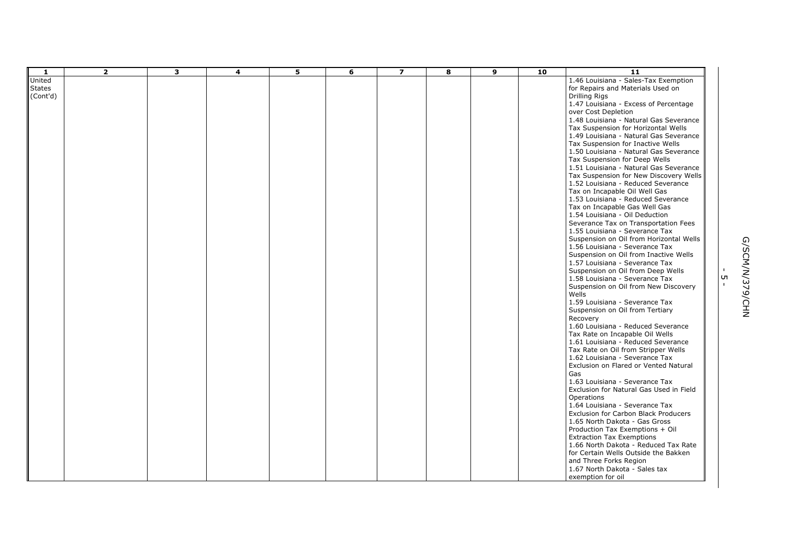| $\mathbf{1}$  | $\overline{2}$ | $\overline{\mathbf{3}}$ | 4 | 5 | 6 | $\overline{z}$ | 8 | 9 | 10 | $\overline{11}$                                                        |              |                 |
|---------------|----------------|-------------------------|---|---|---|----------------|---|---|----|------------------------------------------------------------------------|--------------|-----------------|
| United        |                |                         |   |   |   |                |   |   |    | 1.46 Louisiana - Sales-Tax Exemption                                   |              |                 |
| <b>States</b> |                |                         |   |   |   |                |   |   |    | for Repairs and Materials Used on                                      |              |                 |
| (Cont'd)      |                |                         |   |   |   |                |   |   |    | <b>Drilling Rigs</b>                                                   |              |                 |
|               |                |                         |   |   |   |                |   |   |    | 1.47 Louisiana - Excess of Percentage                                  |              |                 |
|               |                |                         |   |   |   |                |   |   |    | over Cost Depletion                                                    |              |                 |
|               |                |                         |   |   |   |                |   |   |    | 1.48 Louisiana - Natural Gas Severance                                 |              |                 |
|               |                |                         |   |   |   |                |   |   |    | Tax Suspension for Horizontal Wells                                    |              |                 |
|               |                |                         |   |   |   |                |   |   |    | 1.49 Louisiana - Natural Gas Severance                                 |              |                 |
|               |                |                         |   |   |   |                |   |   |    | Tax Suspension for Inactive Wells                                      |              |                 |
|               |                |                         |   |   |   |                |   |   |    | 1.50 Louisiana - Natural Gas Severance                                 |              |                 |
|               |                |                         |   |   |   |                |   |   |    | Tax Suspension for Deep Wells                                          |              |                 |
|               |                |                         |   |   |   |                |   |   |    | 1.51 Louisiana - Natural Gas Severance                                 |              |                 |
|               |                |                         |   |   |   |                |   |   |    | Tax Suspension for New Discovery Wells                                 |              |                 |
|               |                |                         |   |   |   |                |   |   |    | 1.52 Louisiana - Reduced Severance                                     |              |                 |
|               |                |                         |   |   |   |                |   |   |    | Tax on Incapable Oil Well Gas                                          |              |                 |
|               |                |                         |   |   |   |                |   |   |    | 1.53 Louisiana - Reduced Severance                                     |              |                 |
|               |                |                         |   |   |   |                |   |   |    | Tax on Incapable Gas Well Gas                                          |              |                 |
|               |                |                         |   |   |   |                |   |   |    | 1.54 Louisiana - Oil Deduction                                         |              |                 |
|               |                |                         |   |   |   |                |   |   |    | Severance Tax on Transportation Fees<br>1.55 Louisiana - Severance Tax |              |                 |
|               |                |                         |   |   |   |                |   |   |    | Suspension on Oil from Horizontal Wells                                |              |                 |
|               |                |                         |   |   |   |                |   |   |    | 1.56 Louisiana - Severance Tax                                         |              |                 |
|               |                |                         |   |   |   |                |   |   |    | Suspension on Oil from Inactive Wells                                  |              |                 |
|               |                |                         |   |   |   |                |   |   |    | 1.57 Louisiana - Severance Tax                                         |              |                 |
|               |                |                         |   |   |   |                |   |   |    | Suspension on Oil from Deep Wells                                      |              |                 |
|               |                |                         |   |   |   |                |   |   |    | 1.58 Louisiana - Severance Tax                                         | UП           |                 |
|               |                |                         |   |   |   |                |   |   |    | Suspension on Oil from New Discovery                                   | $\mathbf{I}$ |                 |
|               |                |                         |   |   |   |                |   |   |    | Wells                                                                  |              |                 |
|               |                |                         |   |   |   |                |   |   |    | 1.59 Louisiana - Severance Tax                                         |              | G/SCM/N/379/CHN |
|               |                |                         |   |   |   |                |   |   |    | Suspension on Oil from Tertiary                                        |              |                 |
|               |                |                         |   |   |   |                |   |   |    | Recovery                                                               |              |                 |
|               |                |                         |   |   |   |                |   |   |    | 1.60 Louisiana - Reduced Severance                                     |              |                 |
|               |                |                         |   |   |   |                |   |   |    | Tax Rate on Incapable Oil Wells                                        |              |                 |
|               |                |                         |   |   |   |                |   |   |    | 1.61 Louisiana - Reduced Severance                                     |              |                 |
|               |                |                         |   |   |   |                |   |   |    | Tax Rate on Oil from Stripper Wells                                    |              |                 |
|               |                |                         |   |   |   |                |   |   |    | 1.62 Louisiana - Severance Tax                                         |              |                 |
|               |                |                         |   |   |   |                |   |   |    | Exclusion on Flared or Vented Natural                                  |              |                 |
|               |                |                         |   |   |   |                |   |   |    | Gas                                                                    |              |                 |
|               |                |                         |   |   |   |                |   |   |    | 1.63 Louisiana - Severance Tax                                         |              |                 |
|               |                |                         |   |   |   |                |   |   |    | Exclusion for Natural Gas Used in Field                                |              |                 |
|               |                |                         |   |   |   |                |   |   |    | Operations                                                             |              |                 |
|               |                |                         |   |   |   |                |   |   |    | 1.64 Louisiana - Severance Tax<br>Exclusion for Carbon Black Producers |              |                 |
|               |                |                         |   |   |   |                |   |   |    | 1.65 North Dakota - Gas Gross                                          |              |                 |
|               |                |                         |   |   |   |                |   |   |    | Production Tax Exemptions + Oil                                        |              |                 |
|               |                |                         |   |   |   |                |   |   |    | <b>Extraction Tax Exemptions</b>                                       |              |                 |
|               |                |                         |   |   |   |                |   |   |    | 1.66 North Dakota - Reduced Tax Rate                                   |              |                 |
|               |                |                         |   |   |   |                |   |   |    | for Certain Wells Outside the Bakken                                   |              |                 |
|               |                |                         |   |   |   |                |   |   |    | and Three Forks Region                                                 |              |                 |
|               |                |                         |   |   |   |                |   |   |    | 1.67 North Dakota - Sales tax                                          |              |                 |
|               |                |                         |   |   |   |                |   |   |    | exemption for oil                                                      |              |                 |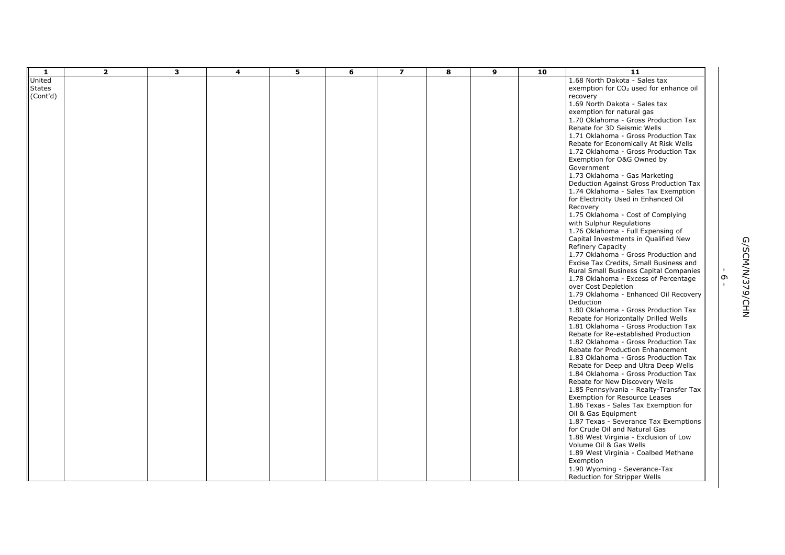| $\mathbf{1}$  | $\overline{2}$ | 3 | $\overline{\mathbf{4}}$ | 5 | 6 | $\overline{z}$ | 8 | 9 | 10 | $\overline{11}$                                                           |              |                 |
|---------------|----------------|---|-------------------------|---|---|----------------|---|---|----|---------------------------------------------------------------------------|--------------|-----------------|
| United        |                |   |                         |   |   |                |   |   |    | 1.68 North Dakota - Sales tax                                             |              |                 |
| <b>States</b> |                |   |                         |   |   |                |   |   |    | exemption for CO <sub>2</sub> used for enhance oil                        |              |                 |
| (Cont'd)      |                |   |                         |   |   |                |   |   |    | recovery                                                                  |              |                 |
|               |                |   |                         |   |   |                |   |   |    | 1.69 North Dakota - Sales tax                                             |              |                 |
|               |                |   |                         |   |   |                |   |   |    | exemption for natural gas                                                 |              |                 |
|               |                |   |                         |   |   |                |   |   |    | 1.70 Oklahoma - Gross Production Tax                                      |              |                 |
|               |                |   |                         |   |   |                |   |   |    | Rebate for 3D Seismic Wells                                               |              |                 |
|               |                |   |                         |   |   |                |   |   |    | 1.71 Oklahoma - Gross Production Tax                                      |              |                 |
|               |                |   |                         |   |   |                |   |   |    | Rebate for Economically At Risk Wells                                     |              |                 |
|               |                |   |                         |   |   |                |   |   |    | 1.72 Oklahoma - Gross Production Tax                                      |              |                 |
|               |                |   |                         |   |   |                |   |   |    | Exemption for O&G Owned by                                                |              |                 |
|               |                |   |                         |   |   |                |   |   |    | Government                                                                |              |                 |
|               |                |   |                         |   |   |                |   |   |    | 1.73 Oklahoma - Gas Marketing                                             |              |                 |
|               |                |   |                         |   |   |                |   |   |    | Deduction Against Gross Production Tax                                    |              |                 |
|               |                |   |                         |   |   |                |   |   |    | 1.74 Oklahoma - Sales Tax Exemption                                       |              |                 |
|               |                |   |                         |   |   |                |   |   |    | for Electricity Used in Enhanced Oil                                      |              |                 |
|               |                |   |                         |   |   |                |   |   |    | Recovery                                                                  |              |                 |
|               |                |   |                         |   |   |                |   |   |    | 1.75 Oklahoma - Cost of Complying                                         |              |                 |
|               |                |   |                         |   |   |                |   |   |    | with Sulphur Regulations                                                  |              |                 |
|               |                |   |                         |   |   |                |   |   |    | 1.76 Oklahoma - Full Expensing of<br>Capital Investments in Qualified New |              |                 |
|               |                |   |                         |   |   |                |   |   |    | Refinery Capacity                                                         |              |                 |
|               |                |   |                         |   |   |                |   |   |    | 1.77 Oklahoma - Gross Production and                                      |              |                 |
|               |                |   |                         |   |   |                |   |   |    | Excise Tax Credits, Small Business and                                    |              | G/SCM/N/379/CHN |
|               |                |   |                         |   |   |                |   |   |    | Rural Small Business Capital Companies                                    | $\mathbf{I}$ |                 |
|               |                |   |                         |   |   |                |   |   |    | 1.78 Oklahoma - Excess of Percentage                                      | $\sigma$     |                 |
|               |                |   |                         |   |   |                |   |   |    | over Cost Depletion                                                       | $\mathbf{L}$ |                 |
|               |                |   |                         |   |   |                |   |   |    | 1.79 Oklahoma - Enhanced Oil Recovery                                     |              |                 |
|               |                |   |                         |   |   |                |   |   |    | Deduction                                                                 |              |                 |
|               |                |   |                         |   |   |                |   |   |    | 1.80 Oklahoma - Gross Production Tax                                      |              |                 |
|               |                |   |                         |   |   |                |   |   |    | Rebate for Horizontally Drilled Wells                                     |              |                 |
|               |                |   |                         |   |   |                |   |   |    | 1.81 Oklahoma - Gross Production Tax                                      |              |                 |
|               |                |   |                         |   |   |                |   |   |    | Rebate for Re-established Production                                      |              |                 |
|               |                |   |                         |   |   |                |   |   |    | 1.82 Oklahoma - Gross Production Tax                                      |              |                 |
|               |                |   |                         |   |   |                |   |   |    | Rebate for Production Enhancement                                         |              |                 |
|               |                |   |                         |   |   |                |   |   |    | 1.83 Oklahoma - Gross Production Tax                                      |              |                 |
|               |                |   |                         |   |   |                |   |   |    | Rebate for Deep and Ultra Deep Wells                                      |              |                 |
|               |                |   |                         |   |   |                |   |   |    | 1.84 Oklahoma - Gross Production Tax                                      |              |                 |
|               |                |   |                         |   |   |                |   |   |    | Rebate for New Discovery Wells                                            |              |                 |
|               |                |   |                         |   |   |                |   |   |    | 1.85 Pennsylvania - Realty-Transfer Tax                                   |              |                 |
|               |                |   |                         |   |   |                |   |   |    | <b>Exemption for Resource Leases</b>                                      |              |                 |
|               |                |   |                         |   |   |                |   |   |    | 1.86 Texas - Sales Tax Exemption for                                      |              |                 |
|               |                |   |                         |   |   |                |   |   |    | Oil & Gas Equipment                                                       |              |                 |
|               |                |   |                         |   |   |                |   |   |    | 1.87 Texas - Severance Tax Exemptions                                     |              |                 |
|               |                |   |                         |   |   |                |   |   |    | for Crude Oil and Natural Gas                                             |              |                 |
|               |                |   |                         |   |   |                |   |   |    | 1.88 West Virginia - Exclusion of Low                                     |              |                 |
|               |                |   |                         |   |   |                |   |   |    | Volume Oil & Gas Wells                                                    |              |                 |
|               |                |   |                         |   |   |                |   |   |    | 1.89 West Virginia - Coalbed Methane                                      |              |                 |
|               |                |   |                         |   |   |                |   |   |    | Exemption                                                                 |              |                 |
|               |                |   |                         |   |   |                |   |   |    | 1.90 Wyoming - Severance-Tax                                              |              |                 |
|               |                |   |                         |   |   |                |   |   |    | Reduction for Stripper Wells                                              |              |                 |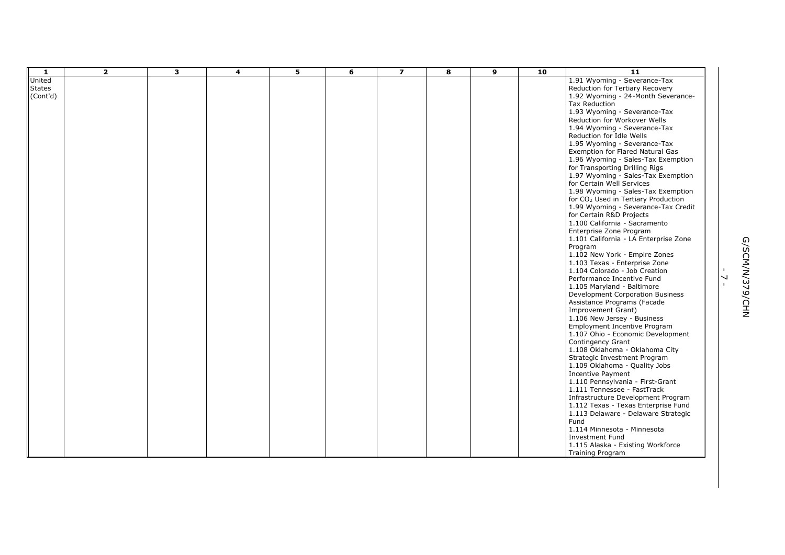| over wells         |  |
|--------------------|--|
| verance-Tax        |  |
| /ells              |  |
| verance-Tax        |  |
| d Natural Gas      |  |
| es-Tax Exemption   |  |
| lling Rigs         |  |
| es-Tax Exemption   |  |
| vices              |  |
| es-Tax Exemption   |  |
| iary Production    |  |
| verance-Tax Credit |  |
| iects              |  |
| acramento          |  |
| gram               |  |
| A Enterprise Zone  |  |
|                    |  |
| mpire Zones        |  |
| prise Zone         |  |
| b Creation         |  |
| ive Fund           |  |
| altimore           |  |

| $\mathbf{1}$                        | $\overline{2}$ | 3 | 4 | 5 | 6 | $\overline{z}$ | 8 | 9 | 10 | 11                                                                                                                                                                                                                                                                                                                                                                                                                                                                                                                                                                                                                                                                                                                                                                                                                                                                                                                                                                                                                                                                                                                                                                                                                                                                                                                                                                                                                                                                                                                                                                             |                                          |
|-------------------------------------|----------------|---|---|---|---|----------------|---|---|----|--------------------------------------------------------------------------------------------------------------------------------------------------------------------------------------------------------------------------------------------------------------------------------------------------------------------------------------------------------------------------------------------------------------------------------------------------------------------------------------------------------------------------------------------------------------------------------------------------------------------------------------------------------------------------------------------------------------------------------------------------------------------------------------------------------------------------------------------------------------------------------------------------------------------------------------------------------------------------------------------------------------------------------------------------------------------------------------------------------------------------------------------------------------------------------------------------------------------------------------------------------------------------------------------------------------------------------------------------------------------------------------------------------------------------------------------------------------------------------------------------------------------------------------------------------------------------------|------------------------------------------|
| United<br><b>States</b><br>(Cont'd) |                |   |   |   |   |                |   |   |    | 1.91 Wyoming - Severance-Tax<br>Reduction for Tertiary Recovery<br>1.92 Wyoming - 24-Month Severance-<br>Tax Reduction<br>1.93 Wyoming - Severance-Tax<br>Reduction for Workover Wells<br>1.94 Wyoming - Severance-Tax<br>Reduction for Idle Wells<br>1.95 Wyoming - Severance-Tax<br>Exemption for Flared Natural Gas<br>1.96 Wyoming - Sales-Tax Exemption<br>for Transporting Drilling Rigs<br>1.97 Wyoming - Sales-Tax Exemption<br>for Certain Well Services<br>1.98 Wyoming - Sales-Tax Exemption<br>for CO <sub>2</sub> Used in Tertiary Production<br>1.99 Wyoming - Severance-Tax Credit<br>for Certain R&D Projects<br>1.100 California - Sacramento<br>Enterprise Zone Program<br>1.101 California - LA Enterprise Zone<br>Program<br>1.102 New York - Empire Zones<br>1.103 Texas - Enterprise Zone<br>1.104 Colorado - Job Creation<br>Performance Incentive Fund<br>1.105 Maryland - Baltimore<br>Development Corporation Business<br>Assistance Programs (Facade<br>Improvement Grant)<br>1.106 New Jersey - Business<br>Employment Incentive Program<br>1.107 Ohio - Economic Development<br>Contingency Grant<br>1.108 Oklahoma - Oklahoma City<br>Strategic Investment Program<br>1.109 Oklahoma - Quality Jobs<br><b>Incentive Payment</b><br>1.110 Pennsylvania - First-Grant<br>1.111 Tennessee - FastTrack<br>Infrastructure Development Program<br>1.112 Texas - Texas Enterprise Fund<br>1.113 Delaware - Delaware Strategic<br>Fund<br>1.114 Minnesota - Minnesota<br>Investment Fund<br>1.115 Alaska - Existing Workforce<br><b>Training Program</b> | $\overline{\phantom{0}}$<br>$\mathbf{r}$ |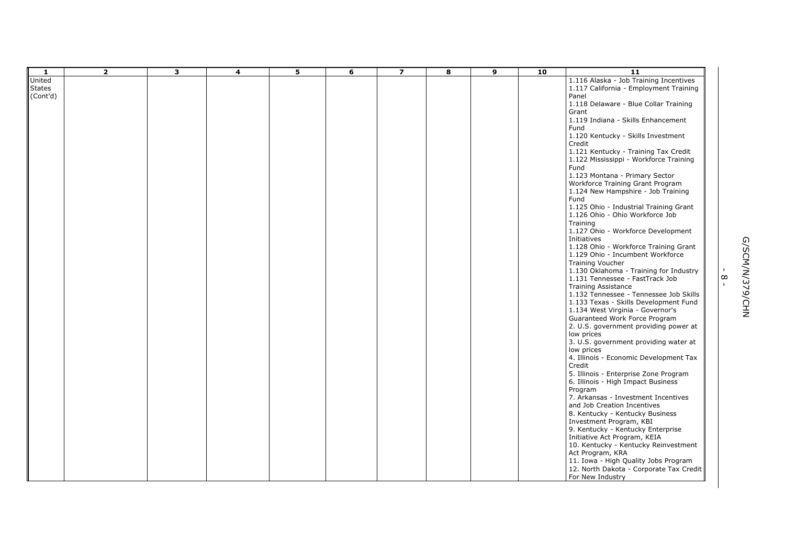| kills Enhancement                                         |  |
|-----------------------------------------------------------|--|
| <b>Skills Investment</b>                                  |  |
| <b>Training Tax Credit</b><br>- Workforce Training        |  |
| Primary Sector<br>g Grant Program<br>shire - Job Training |  |
| ustrial Training Grant<br>Workforce Job                   |  |
| kforce Development                                        |  |
| kforce Training Grant<br>imbent Workforce                 |  |
| - Training for Industry<br>- FastTrack Job<br>cе          |  |
| - Tennessee Job Skills                                    |  |

| -1            | $\overline{2}$ | 3 | 4 | 5 | 6 | $\overline{\mathbf{z}}$ | 8 | 9 | 10 | 11                                                                              |              |                 |
|---------------|----------------|---|---|---|---|-------------------------|---|---|----|---------------------------------------------------------------------------------|--------------|-----------------|
| United        |                |   |   |   |   |                         |   |   |    | 1.116 Alaska - Job Training Incentives                                          |              |                 |
| <b>States</b> |                |   |   |   |   |                         |   |   |    | 1.117 California - Employment Training                                          |              |                 |
| (Cont'd)      |                |   |   |   |   |                         |   |   |    | Panel                                                                           |              |                 |
|               |                |   |   |   |   |                         |   |   |    | 1.118 Delaware - Blue Collar Training                                           |              |                 |
|               |                |   |   |   |   |                         |   |   |    | Grant                                                                           |              |                 |
|               |                |   |   |   |   |                         |   |   |    | 1.119 Indiana - Skills Enhancement                                              |              |                 |
|               |                |   |   |   |   |                         |   |   |    | Fund                                                                            |              |                 |
|               |                |   |   |   |   |                         |   |   |    | 1.120 Kentucky - Skills Investment                                              |              |                 |
|               |                |   |   |   |   |                         |   |   |    | Credit                                                                          |              |                 |
|               |                |   |   |   |   |                         |   |   |    | 1.121 Kentucky - Training Tax Credit                                            |              |                 |
|               |                |   |   |   |   |                         |   |   |    | 1.122 Mississippi - Workforce Training                                          |              |                 |
|               |                |   |   |   |   |                         |   |   |    | Fund                                                                            |              |                 |
|               |                |   |   |   |   |                         |   |   |    | 1.123 Montana - Primary Sector                                                  |              |                 |
|               |                |   |   |   |   |                         |   |   |    | Workforce Training Grant Program                                                |              |                 |
|               |                |   |   |   |   |                         |   |   |    | 1.124 New Hampshire - Job Training                                              |              |                 |
|               |                |   |   |   |   |                         |   |   |    | Fund                                                                            |              |                 |
|               |                |   |   |   |   |                         |   |   |    | 1.125 Ohio - Industrial Training Grant                                          |              |                 |
|               |                |   |   |   |   |                         |   |   |    | 1.126 Ohio - Ohio Workforce Job                                                 |              |                 |
|               |                |   |   |   |   |                         |   |   |    | Training                                                                        |              |                 |
|               |                |   |   |   |   |                         |   |   |    | 1.127 Ohio - Workforce Development                                              |              |                 |
|               |                |   |   |   |   |                         |   |   |    | Initiatives                                                                     |              | G/SCM/N/379/CHN |
|               |                |   |   |   |   |                         |   |   |    | 1.128 Ohio - Workforce Training Grant                                           |              |                 |
|               |                |   |   |   |   |                         |   |   |    | 1.129 Ohio - Incumbent Workforce                                                |              |                 |
|               |                |   |   |   |   |                         |   |   |    | <b>Training Voucher</b>                                                         |              |                 |
|               |                |   |   |   |   |                         |   |   |    | 1.130 Oklahoma - Training for Industry                                          | $\infty$     |                 |
|               |                |   |   |   |   |                         |   |   |    | 1.131 Tennessee - FastTrack Job                                                 | $\mathbf{I}$ |                 |
|               |                |   |   |   |   |                         |   |   |    | <b>Training Assistance</b>                                                      |              |                 |
|               |                |   |   |   |   |                         |   |   |    | 1.132 Tennessee - Tennessee Job Skills<br>1.133 Texas - Skills Development Fund |              |                 |
|               |                |   |   |   |   |                         |   |   |    | 1.134 West Virginia - Governor's                                                |              |                 |
|               |                |   |   |   |   |                         |   |   |    | Guaranteed Work Force Program                                                   |              |                 |
|               |                |   |   |   |   |                         |   |   |    | 2. U.S. government providing power at                                           |              |                 |
|               |                |   |   |   |   |                         |   |   |    | low prices                                                                      |              |                 |
|               |                |   |   |   |   |                         |   |   |    | 3. U.S. government providing water at                                           |              |                 |
|               |                |   |   |   |   |                         |   |   |    | low prices                                                                      |              |                 |
|               |                |   |   |   |   |                         |   |   |    | 4. Illinois - Economic Development Tax                                          |              |                 |
|               |                |   |   |   |   |                         |   |   |    | Credit                                                                          |              |                 |
|               |                |   |   |   |   |                         |   |   |    | 5. Illinois - Enterprise Zone Program                                           |              |                 |
|               |                |   |   |   |   |                         |   |   |    | 6. Illinois - High Impact Business                                              |              |                 |
|               |                |   |   |   |   |                         |   |   |    | Program                                                                         |              |                 |
|               |                |   |   |   |   |                         |   |   |    | 7. Arkansas - Investment Incentives                                             |              |                 |
|               |                |   |   |   |   |                         |   |   |    | and Job Creation Incentives                                                     |              |                 |
|               |                |   |   |   |   |                         |   |   |    | 8. Kentucky - Kentucky Business                                                 |              |                 |
|               |                |   |   |   |   |                         |   |   |    | Investment Program, KBI                                                         |              |                 |
|               |                |   |   |   |   |                         |   |   |    | 9. Kentucky - Kentucky Enterprise                                               |              |                 |
|               |                |   |   |   |   |                         |   |   |    | Initiative Act Program, KEIA                                                    |              |                 |
|               |                |   |   |   |   |                         |   |   |    | 10. Kentucky - Kentucky Reinvestment                                            |              |                 |
|               |                |   |   |   |   |                         |   |   |    | Act Program, KRA                                                                |              |                 |
|               |                |   |   |   |   |                         |   |   |    | 11. Iowa - High Quality Jobs Program                                            |              |                 |
|               |                |   |   |   |   |                         |   |   |    | 12. North Dakota - Corporate Tax Credit                                         |              |                 |
|               |                |   |   |   |   |                         |   |   |    | For New Industry                                                                |              |                 |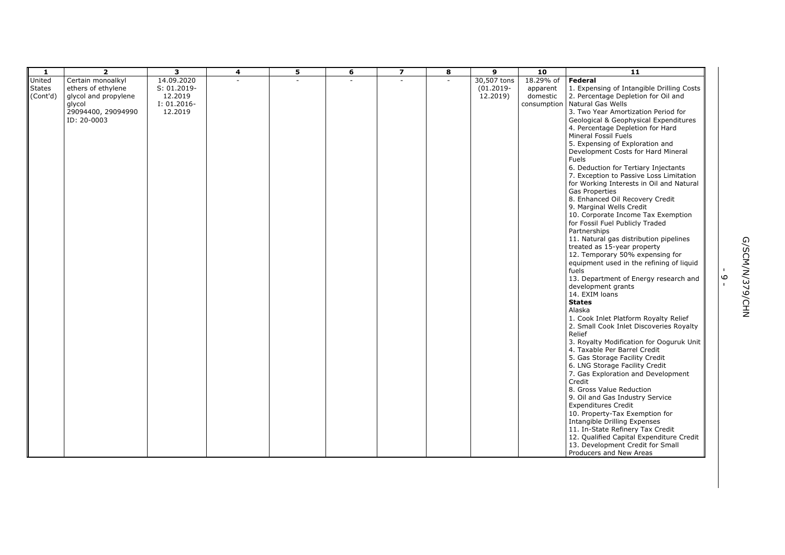| -1            | $\overline{2}$       | 3              | 4 | 5 | 6 | $\overline{z}$ | 8      | 9            | 10        | 11                                        |               |
|---------------|----------------------|----------------|---|---|---|----------------|--------|--------------|-----------|-------------------------------------------|---------------|
| United        | Certain monoalkyl    | 14.09.2020     |   |   |   |                | $\sim$ | 30,507 tons  | 18.29% of | Federal                                   |               |
| <b>States</b> | ethers of ethylene   | $S: 01.2019 -$ |   |   |   |                |        | $(01.2019 -$ | apparent  | 1. Expensing of Intangible Drilling Costs |               |
| (Cont'd)      | glycol and propylene | 12.2019        |   |   |   |                |        | 12.2019)     | domestic  | 2. Percentage Depletion for Oil and       |               |
|               |                      |                |   |   |   |                |        |              |           |                                           |               |
|               | glycol               | I: 01.2016-    |   |   |   |                |        |              |           | consumption   Natural Gas Wells           |               |
|               | 29094400, 29094990   | 12.2019        |   |   |   |                |        |              |           | 3. Two Year Amortization Period for       |               |
|               | ID: 20-0003          |                |   |   |   |                |        |              |           | Geological & Geophysical Expenditures     |               |
|               |                      |                |   |   |   |                |        |              |           | 4. Percentage Depletion for Hard          |               |
|               |                      |                |   |   |   |                |        |              |           | Mineral Fossil Fuels                      |               |
|               |                      |                |   |   |   |                |        |              |           | 5. Expensing of Exploration and           |               |
|               |                      |                |   |   |   |                |        |              |           | Development Costs for Hard Mineral        |               |
|               |                      |                |   |   |   |                |        |              |           | <b>Fuels</b>                              |               |
|               |                      |                |   |   |   |                |        |              |           | 6. Deduction for Tertiary Injectants      |               |
|               |                      |                |   |   |   |                |        |              |           | 7. Exception to Passive Loss Limitation   |               |
|               |                      |                |   |   |   |                |        |              |           | for Working Interests in Oil and Natural  |               |
|               |                      |                |   |   |   |                |        |              |           |                                           |               |
|               |                      |                |   |   |   |                |        |              |           | <b>Gas Properties</b>                     |               |
|               |                      |                |   |   |   |                |        |              |           | 8. Enhanced Oil Recovery Credit           |               |
|               |                      |                |   |   |   |                |        |              |           | 9. Marginal Wells Credit                  |               |
|               |                      |                |   |   |   |                |        |              |           | 10. Corporate Income Tax Exemption        |               |
|               |                      |                |   |   |   |                |        |              |           | for Fossil Fuel Publicly Traded           |               |
|               |                      |                |   |   |   |                |        |              |           | Partnerships                              |               |
|               |                      |                |   |   |   |                |        |              |           | 11. Natural gas distribution pipelines    |               |
|               |                      |                |   |   |   |                |        |              |           | treated as 15-year property               |               |
|               |                      |                |   |   |   |                |        |              |           | 12. Temporary 50% expensing for           |               |
|               |                      |                |   |   |   |                |        |              |           | equipment used in the refining of liquid  |               |
|               |                      |                |   |   |   |                |        |              |           | fuels                                     | G/SCM/M/3     |
|               |                      |                |   |   |   |                |        |              |           | 13. Department of Energy research and     | $\circ$       |
|               |                      |                |   |   |   |                |        |              |           | development grants                        |               |
|               |                      |                |   |   |   |                |        |              |           | 14. EXIM loans                            |               |
|               |                      |                |   |   |   |                |        |              |           | <b>States</b>                             |               |
|               |                      |                |   |   |   |                |        |              |           |                                           | <b>79/CHN</b> |
|               |                      |                |   |   |   |                |        |              |           | Alaska                                    |               |
|               |                      |                |   |   |   |                |        |              |           | 1. Cook Inlet Platform Royalty Relief     |               |
|               |                      |                |   |   |   |                |        |              |           | 2. Small Cook Inlet Discoveries Royalty   |               |
|               |                      |                |   |   |   |                |        |              |           | Relief                                    |               |
|               |                      |                |   |   |   |                |        |              |           | 3. Royalty Modification for Ooguruk Unit  |               |
|               |                      |                |   |   |   |                |        |              |           | 4. Taxable Per Barrel Credit              |               |
|               |                      |                |   |   |   |                |        |              |           | 5. Gas Storage Facility Credit            |               |
|               |                      |                |   |   |   |                |        |              |           | 6. LNG Storage Facility Credit            |               |
|               |                      |                |   |   |   |                |        |              |           | 7. Gas Exploration and Development        |               |
|               |                      |                |   |   |   |                |        |              |           | Credit                                    |               |
|               |                      |                |   |   |   |                |        |              |           | 8. Gross Value Reduction                  |               |
|               |                      |                |   |   |   |                |        |              |           | 9. Oil and Gas Industry Service           |               |
|               |                      |                |   |   |   |                |        |              |           | <b>Expenditures Credit</b>                |               |
|               |                      |                |   |   |   |                |        |              |           | 10. Property-Tax Exemption for            |               |
|               |                      |                |   |   |   |                |        |              |           |                                           |               |
|               |                      |                |   |   |   |                |        |              |           | Intangible Drilling Expenses              |               |
|               |                      |                |   |   |   |                |        |              |           | 11. In-State Refinery Tax Credit          |               |
|               |                      |                |   |   |   |                |        |              |           | 12. Qualified Capital Expenditure Credit  |               |
|               |                      |                |   |   |   |                |        |              |           | 13. Development Credit for Small          |               |
|               |                      |                |   |   |   |                |        |              |           | Producers and New Areas                   |               |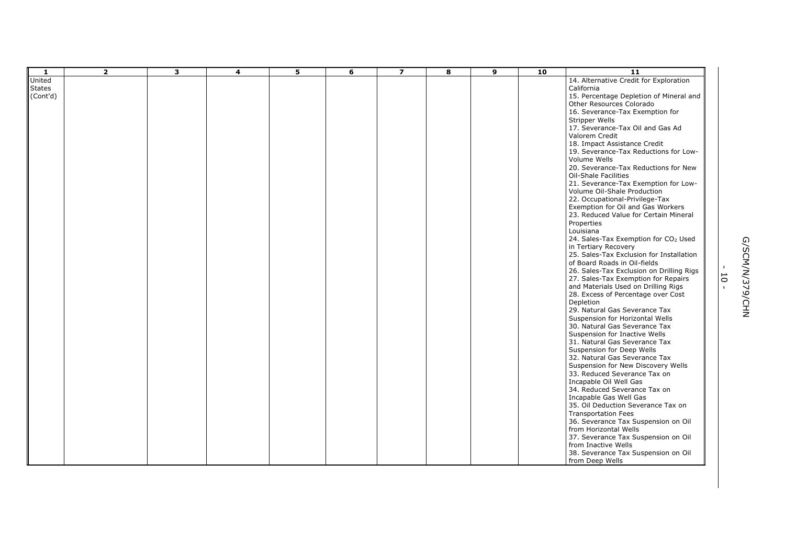| 1             | $\overline{2}$ | 3 | $\overline{\mathbf{4}}$ | 5 | 6 | $\overline{\mathbf{z}}$ | 8 | 9 | 10 | $\overline{11}$                                                     |                |                 |
|---------------|----------------|---|-------------------------|---|---|-------------------------|---|---|----|---------------------------------------------------------------------|----------------|-----------------|
| United        |                |   |                         |   |   |                         |   |   |    | 14. Alternative Credit for Exploration                              |                |                 |
| <b>States</b> |                |   |                         |   |   |                         |   |   |    | California                                                          |                |                 |
| (Cont'd)      |                |   |                         |   |   |                         |   |   |    | 15. Percentage Depletion of Mineral and                             |                |                 |
|               |                |   |                         |   |   |                         |   |   |    | Other Resources Colorado                                            |                |                 |
|               |                |   |                         |   |   |                         |   |   |    | 16. Severance-Tax Exemption for                                     |                |                 |
|               |                |   |                         |   |   |                         |   |   |    | Stripper Wells                                                      |                |                 |
|               |                |   |                         |   |   |                         |   |   |    | 17. Severance-Tax Oil and Gas Ad                                    |                |                 |
|               |                |   |                         |   |   |                         |   |   |    | Valorem Credit                                                      |                |                 |
|               |                |   |                         |   |   |                         |   |   |    | 18. Impact Assistance Credit                                        |                |                 |
|               |                |   |                         |   |   |                         |   |   |    | 19. Severance-Tax Reductions for Low-                               |                |                 |
|               |                |   |                         |   |   |                         |   |   |    | Volume Wells                                                        |                |                 |
|               |                |   |                         |   |   |                         |   |   |    | 20. Severance-Tax Reductions for New<br><b>Oil-Shale Facilities</b> |                |                 |
|               |                |   |                         |   |   |                         |   |   |    | 21. Severance-Tax Exemption for Low-                                |                |                 |
|               |                |   |                         |   |   |                         |   |   |    | Volume Oil-Shale Production                                         |                |                 |
|               |                |   |                         |   |   |                         |   |   |    | 22. Occupational-Privilege-Tax                                      |                |                 |
|               |                |   |                         |   |   |                         |   |   |    | Exemption for Oil and Gas Workers                                   |                |                 |
|               |                |   |                         |   |   |                         |   |   |    | 23. Reduced Value for Certain Mineral                               |                |                 |
|               |                |   |                         |   |   |                         |   |   |    | Properties                                                          |                |                 |
|               |                |   |                         |   |   |                         |   |   |    | Louisiana                                                           |                |                 |
|               |                |   |                         |   |   |                         |   |   |    | 24. Sales-Tax Exemption for CO <sub>2</sub> Used                    |                |                 |
|               |                |   |                         |   |   |                         |   |   |    | in Tertiary Recovery                                                |                |                 |
|               |                |   |                         |   |   |                         |   |   |    | 25. Sales-Tax Exclusion for Installation                            |                |                 |
|               |                |   |                         |   |   |                         |   |   |    | of Board Roads in Oil-fields                                        |                |                 |
|               |                |   |                         |   |   |                         |   |   |    | 26. Sales-Tax Exclusion on Drilling Rigs                            | $\mathbf{I}$   | G/SCM/N/379/CHN |
|               |                |   |                         |   |   |                         |   |   |    | 27. Sales-Tax Exemption for Repairs                                 | $\overline{0}$ |                 |
|               |                |   |                         |   |   |                         |   |   |    | and Materials Used on Drilling Rigs                                 | $\mathbf{I}$   |                 |
|               |                |   |                         |   |   |                         |   |   |    | 28. Excess of Percentage over Cost                                  |                |                 |
|               |                |   |                         |   |   |                         |   |   |    | Depletion                                                           |                |                 |
|               |                |   |                         |   |   |                         |   |   |    | 29. Natural Gas Severance Tax                                       |                |                 |
|               |                |   |                         |   |   |                         |   |   |    | Suspension for Horizontal Wells                                     |                |                 |
|               |                |   |                         |   |   |                         |   |   |    | 30. Natural Gas Severance Tax                                       |                |                 |
|               |                |   |                         |   |   |                         |   |   |    | Suspension for Inactive Wells                                       |                |                 |
|               |                |   |                         |   |   |                         |   |   |    | 31. Natural Gas Severance Tax                                       |                |                 |
|               |                |   |                         |   |   |                         |   |   |    | Suspension for Deep Wells                                           |                |                 |
|               |                |   |                         |   |   |                         |   |   |    | 32. Natural Gas Severance Tax                                       |                |                 |
|               |                |   |                         |   |   |                         |   |   |    | Suspension for New Discovery Wells                                  |                |                 |
|               |                |   |                         |   |   |                         |   |   |    | 33. Reduced Severance Tax on                                        |                |                 |
|               |                |   |                         |   |   |                         |   |   |    | Incapable Oil Well Gas                                              |                |                 |
|               |                |   |                         |   |   |                         |   |   |    | 34. Reduced Severance Tax on                                        |                |                 |
|               |                |   |                         |   |   |                         |   |   |    | Incapable Gas Well Gas                                              |                |                 |
|               |                |   |                         |   |   |                         |   |   |    | 35. Oil Deduction Severance Tax on                                  |                |                 |
|               |                |   |                         |   |   |                         |   |   |    | <b>Transportation Fees</b>                                          |                |                 |
|               |                |   |                         |   |   |                         |   |   |    | 36. Severance Tax Suspension on Oil                                 |                |                 |
|               |                |   |                         |   |   |                         |   |   |    | from Horizontal Wells                                               |                |                 |
|               |                |   |                         |   |   |                         |   |   |    | 37. Severance Tax Suspension on Oil                                 |                |                 |
|               |                |   |                         |   |   |                         |   |   |    | from Inactive Wells                                                 |                |                 |
|               |                |   |                         |   |   |                         |   |   |    | 38. Severance Tax Suspension on Oil                                 |                |                 |
|               |                |   |                         |   |   |                         |   |   |    | from Deep Wells                                                     |                |                 |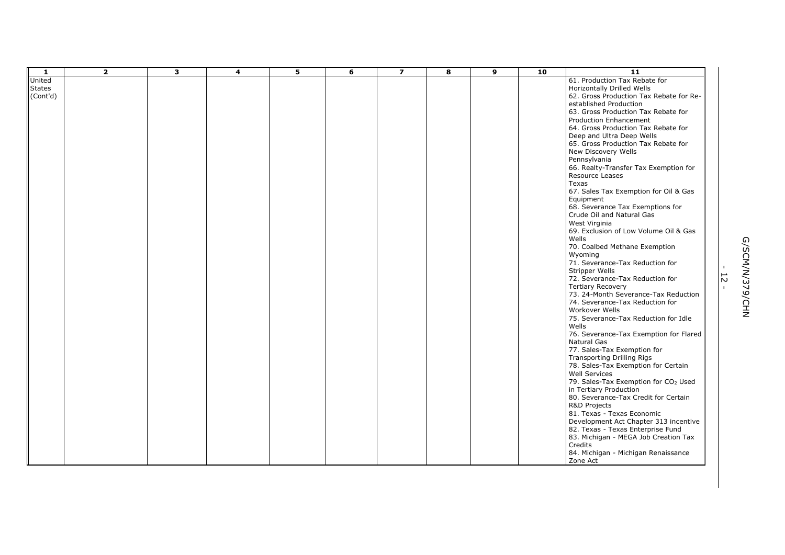| $\mathbf{1}$  | $\overline{2}$ | $\overline{\mathbf{3}}$ | $\overline{\mathbf{4}}$ | 5 | 6 | $\overline{\mathbf{z}}$ | 8 | 9 | 10 | 11                                                                   |                |                 |
|---------------|----------------|-------------------------|-------------------------|---|---|-------------------------|---|---|----|----------------------------------------------------------------------|----------------|-----------------|
| United        |                |                         |                         |   |   |                         |   |   |    | 61. Production Tax Rebate for                                        |                |                 |
| <b>States</b> |                |                         |                         |   |   |                         |   |   |    | Horizontally Drilled Wells                                           |                |                 |
| (Cont'd)      |                |                         |                         |   |   |                         |   |   |    | 62. Gross Production Tax Rebate for Re-                              |                |                 |
|               |                |                         |                         |   |   |                         |   |   |    | established Production                                               |                |                 |
|               |                |                         |                         |   |   |                         |   |   |    | 63. Gross Production Tax Rebate for                                  |                |                 |
|               |                |                         |                         |   |   |                         |   |   |    |                                                                      |                |                 |
|               |                |                         |                         |   |   |                         |   |   |    | <b>Production Enhancement</b><br>64. Gross Production Tax Rebate for |                |                 |
|               |                |                         |                         |   |   |                         |   |   |    |                                                                      |                |                 |
|               |                |                         |                         |   |   |                         |   |   |    | Deep and Ultra Deep Wells                                            |                |                 |
|               |                |                         |                         |   |   |                         |   |   |    | 65. Gross Production Tax Rebate for                                  |                |                 |
|               |                |                         |                         |   |   |                         |   |   |    | New Discovery Wells                                                  |                |                 |
|               |                |                         |                         |   |   |                         |   |   |    | Pennsylvania                                                         |                |                 |
|               |                |                         |                         |   |   |                         |   |   |    | 66. Realty-Transfer Tax Exemption for                                |                |                 |
|               |                |                         |                         |   |   |                         |   |   |    | Resource Leases                                                      |                |                 |
|               |                |                         |                         |   |   |                         |   |   |    | Texas                                                                |                |                 |
|               |                |                         |                         |   |   |                         |   |   |    | 67. Sales Tax Exemption for Oil & Gas                                |                |                 |
|               |                |                         |                         |   |   |                         |   |   |    | Equipment                                                            |                |                 |
|               |                |                         |                         |   |   |                         |   |   |    | 68. Severance Tax Exemptions for                                     |                |                 |
|               |                |                         |                         |   |   |                         |   |   |    | Crude Oil and Natural Gas                                            |                |                 |
|               |                |                         |                         |   |   |                         |   |   |    | West Virginia                                                        |                |                 |
|               |                |                         |                         |   |   |                         |   |   |    | 69. Exclusion of Low Volume Oil & Gas                                |                |                 |
|               |                |                         |                         |   |   |                         |   |   |    | Wells                                                                |                |                 |
|               |                |                         |                         |   |   |                         |   |   |    | 70. Coalbed Methane Exemption                                        |                |                 |
|               |                |                         |                         |   |   |                         |   |   |    | Wyoming                                                              |                |                 |
|               |                |                         |                         |   |   |                         |   |   |    | 71. Severance-Tax Reduction for                                      |                |                 |
|               |                |                         |                         |   |   |                         |   |   |    | <b>Stripper Wells</b>                                                |                |                 |
|               |                |                         |                         |   |   |                         |   |   |    | 72. Severance-Tax Reduction for                                      | $\overline{c}$ |                 |
|               |                |                         |                         |   |   |                         |   |   |    | <b>Tertiary Recovery</b>                                             | $\mathbf{I}$   |                 |
|               |                |                         |                         |   |   |                         |   |   |    | 73. 24-Month Severance-Tax Reduction                                 |                |                 |
|               |                |                         |                         |   |   |                         |   |   |    | 74. Severance-Tax Reduction for                                      |                | G/SCM/N/379/CHN |
|               |                |                         |                         |   |   |                         |   |   |    | Workover Wells                                                       |                |                 |
|               |                |                         |                         |   |   |                         |   |   |    | 75. Severance-Tax Reduction for Idle                                 |                |                 |
|               |                |                         |                         |   |   |                         |   |   |    | Wells                                                                |                |                 |
|               |                |                         |                         |   |   |                         |   |   |    | 76. Severance-Tax Exemption for Flared                               |                |                 |
|               |                |                         |                         |   |   |                         |   |   |    | Natural Gas                                                          |                |                 |
|               |                |                         |                         |   |   |                         |   |   |    | 77. Sales-Tax Exemption for                                          |                |                 |
|               |                |                         |                         |   |   |                         |   |   |    | Transporting Drilling Rigs                                           |                |                 |
|               |                |                         |                         |   |   |                         |   |   |    | 78. Sales-Tax Exemption for Certain                                  |                |                 |
|               |                |                         |                         |   |   |                         |   |   |    | <b>Well Services</b>                                                 |                |                 |
|               |                |                         |                         |   |   |                         |   |   |    | 79. Sales-Tax Exemption for CO <sub>2</sub> Used                     |                |                 |
|               |                |                         |                         |   |   |                         |   |   |    | in Tertiary Production                                               |                |                 |
|               |                |                         |                         |   |   |                         |   |   |    | 80. Severance-Tax Credit for Certain                                 |                |                 |
|               |                |                         |                         |   |   |                         |   |   |    | R&D Projects                                                         |                |                 |
|               |                |                         |                         |   |   |                         |   |   |    | 81. Texas - Texas Economic                                           |                |                 |
|               |                |                         |                         |   |   |                         |   |   |    | Development Act Chapter 313 incentive                                |                |                 |
|               |                |                         |                         |   |   |                         |   |   |    | 82. Texas - Texas Enterprise Fund                                    |                |                 |
|               |                |                         |                         |   |   |                         |   |   |    | 83. Michigan - MEGA Job Creation Tax                                 |                |                 |
|               |                |                         |                         |   |   |                         |   |   |    | Credits                                                              |                |                 |
|               |                |                         |                         |   |   |                         |   |   |    | 84. Michigan - Michigan Renaissance<br>Zone Act                      |                |                 |
|               |                |                         |                         |   |   |                         |   |   |    |                                                                      |                |                 |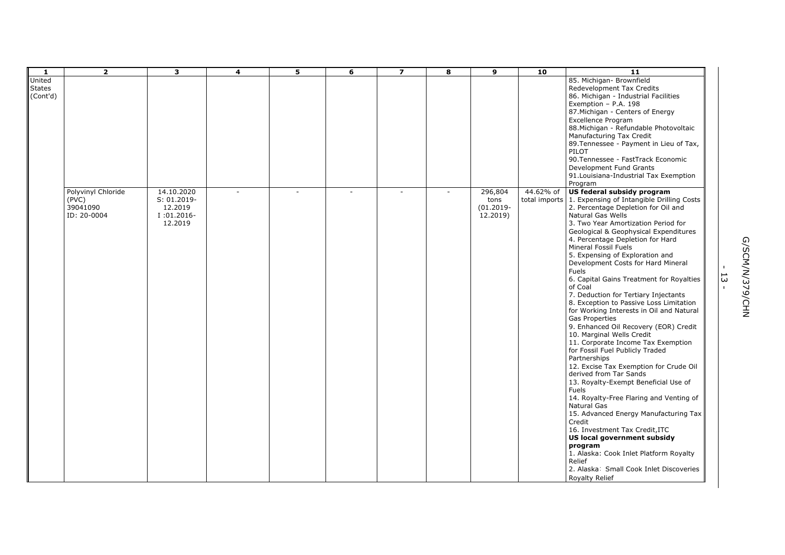| $\mathbf{1}$                        | $\overline{2}$                                         | $\overline{\mathbf{3}}$                                         | 4 | 5. | 6  | $\overline{\mathbf{z}}$ | 8      | $\mathbf{9}$                                | 10        | 11                                                                                                                                                                                                                                                                                                                                                                                                                                                                                                                                                                                                                                                                                                                                                                                                                                                                                                                                                                                                                                                                                                                                                                                                         |                                       |
|-------------------------------------|--------------------------------------------------------|-----------------------------------------------------------------|---|----|----|-------------------------|--------|---------------------------------------------|-----------|------------------------------------------------------------------------------------------------------------------------------------------------------------------------------------------------------------------------------------------------------------------------------------------------------------------------------------------------------------------------------------------------------------------------------------------------------------------------------------------------------------------------------------------------------------------------------------------------------------------------------------------------------------------------------------------------------------------------------------------------------------------------------------------------------------------------------------------------------------------------------------------------------------------------------------------------------------------------------------------------------------------------------------------------------------------------------------------------------------------------------------------------------------------------------------------------------------|---------------------------------------|
| United<br><b>States</b><br>(Cont'd) |                                                        |                                                                 |   |    |    |                         |        |                                             |           | 85. Michigan- Brownfield<br>Redevelopment Tax Credits<br>86. Michigan - Industrial Facilities<br>Exemption - P.A. 198<br>87. Michigan - Centers of Energy<br><b>Excellence Program</b><br>88. Michigan - Refundable Photovoltaic<br>Manufacturing Tax Credit<br>89. Tennessee - Payment in Lieu of Tax,<br>PILOT<br>90. Tennessee - FastTrack Economic<br>Development Fund Grants<br>91. Louisiana-Industrial Tax Exemption<br>Program                                                                                                                                                                                                                                                                                                                                                                                                                                                                                                                                                                                                                                                                                                                                                                     |                                       |
|                                     | Polyvinyl Chloride<br>(PVC)<br>39041090<br>ID: 20-0004 | 14.10.2020<br>S: 01.2019-<br>12.2019<br>$I:01.2016-$<br>12.2019 |   |    | ×. |                         | $\sim$ | 296,804<br>tons<br>$(01.2019 -$<br>12.2019) | 44.62% of | US federal subsidy program<br>total imports 1. Expensing of Intangible Drilling Costs<br>2. Percentage Depletion for Oil and<br>Natural Gas Wells<br>3. Two Year Amortization Period for<br>Geological & Geophysical Expenditures<br>4. Percentage Depletion for Hard<br>Mineral Fossil Fuels<br>5. Expensing of Exploration and<br>Development Costs for Hard Mineral<br>Fuels<br>6. Capital Gains Treatment for Royalties<br>of Coal<br>7. Deduction for Tertiary Injectants<br>8. Exception to Passive Loss Limitation<br>for Working Interests in Oil and Natural<br><b>Gas Properties</b><br>9. Enhanced Oil Recovery (EOR) Credit<br>10. Marginal Wells Credit<br>11. Corporate Income Tax Exemption<br>for Fossil Fuel Publicly Traded<br>Partnerships<br>12. Excise Tax Exemption for Crude Oil<br>derived from Tar Sands<br>13. Royalty-Exempt Beneficial Use of<br><b>Fuels</b><br>14. Royalty-Free Flaring and Venting of<br>Natural Gas<br>15. Advanced Energy Manufacturing Tax<br>Credit<br>16. Investment Tax Credit, ITC<br>US local government subsidy<br>program<br>1. Alaska: Cook Inlet Platform Royalty<br>Relief<br>2. Alaska: Small Cook Inlet Discoveries<br><b>Royalty Relief</b> | G/SCM/N/379/CHN<br>53<br>$\mathbf{I}$ |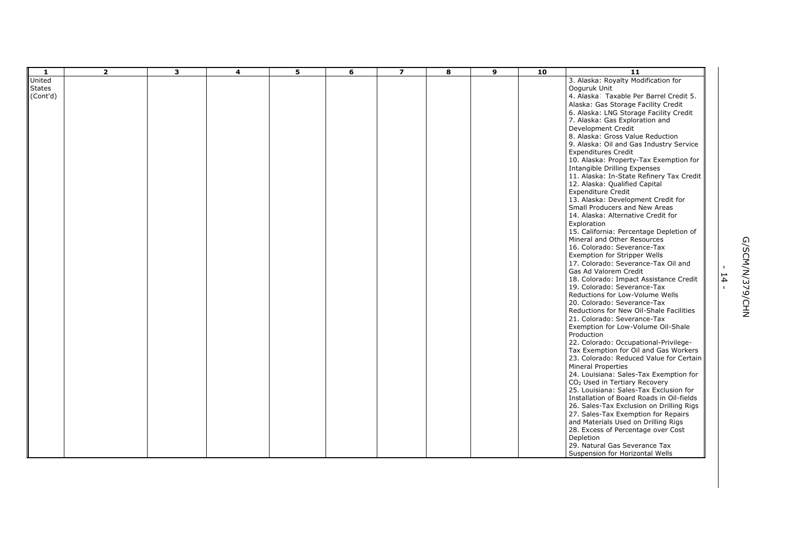| -1            | $\overline{2}$ | 3 | 4 | 5 | 6 | $\overline{\mathbf{z}}$ | 8 | $\mathbf{9}$ | 10 | 11                                        |               |                 |
|---------------|----------------|---|---|---|---|-------------------------|---|--------------|----|-------------------------------------------|---------------|-----------------|
| United        |                |   |   |   |   |                         |   |              |    | 3. Alaska: Royalty Modification for       |               |                 |
| <b>States</b> |                |   |   |   |   |                         |   |              |    | Ooguruk Unit                              |               |                 |
| (Cont'd)      |                |   |   |   |   |                         |   |              |    | 4. Alaska: Taxable Per Barrel Credit 5.   |               |                 |
|               |                |   |   |   |   |                         |   |              |    | Alaska: Gas Storage Facility Credit       |               |                 |
|               |                |   |   |   |   |                         |   |              |    | 6. Alaska: LNG Storage Facility Credit    |               |                 |
|               |                |   |   |   |   |                         |   |              |    | 7. Alaska: Gas Exploration and            |               |                 |
|               |                |   |   |   |   |                         |   |              |    | Development Credit                        |               |                 |
|               |                |   |   |   |   |                         |   |              |    | 8. Alaska: Gross Value Reduction          |               |                 |
|               |                |   |   |   |   |                         |   |              |    | 9. Alaska: Oil and Gas Industry Service   |               |                 |
|               |                |   |   |   |   |                         |   |              |    | <b>Expenditures Credit</b>                |               |                 |
|               |                |   |   |   |   |                         |   |              |    | 10. Alaska: Property-Tax Exemption for    |               |                 |
|               |                |   |   |   |   |                         |   |              |    | Intangible Drilling Expenses              |               |                 |
|               |                |   |   |   |   |                         |   |              |    | 11. Alaska: In-State Refinery Tax Credit  |               |                 |
|               |                |   |   |   |   |                         |   |              |    | 12. Alaska: Qualified Capital             |               |                 |
|               |                |   |   |   |   |                         |   |              |    | <b>Expenditure Credit</b>                 |               |                 |
|               |                |   |   |   |   |                         |   |              |    | 13. Alaska: Development Credit for        |               |                 |
|               |                |   |   |   |   |                         |   |              |    | Small Producers and New Areas             |               |                 |
|               |                |   |   |   |   |                         |   |              |    | 14. Alaska: Alternative Credit for        |               |                 |
|               |                |   |   |   |   |                         |   |              |    | Exploration                               |               |                 |
|               |                |   |   |   |   |                         |   |              |    | 15. California: Percentage Depletion of   |               |                 |
|               |                |   |   |   |   |                         |   |              |    | Mineral and Other Resources               |               |                 |
|               |                |   |   |   |   |                         |   |              |    | 16. Colorado: Severance-Tax               |               |                 |
|               |                |   |   |   |   |                         |   |              |    | Exemption for Stripper Wells              |               |                 |
|               |                |   |   |   |   |                         |   |              |    | 17. Colorado: Severance-Tax Oil and       |               |                 |
|               |                |   |   |   |   |                         |   |              |    | Gas Ad Valorem Credit                     |               | G/SCM/N/379/CHN |
|               |                |   |   |   |   |                         |   |              |    | 18. Colorado: Impact Assistance Credit    | $\frac{1}{4}$ |                 |
|               |                |   |   |   |   |                         |   |              |    | 19. Colorado: Severance-Tax               |               |                 |
|               |                |   |   |   |   |                         |   |              |    | Reductions for Low-Volume Wells           |               |                 |
|               |                |   |   |   |   |                         |   |              |    | 20. Colorado: Severance-Tax               |               |                 |
|               |                |   |   |   |   |                         |   |              |    | Reductions for New Oil-Shale Facilities   |               |                 |
|               |                |   |   |   |   |                         |   |              |    | 21. Colorado: Severance-Tax               |               |                 |
|               |                |   |   |   |   |                         |   |              |    | Exemption for Low-Volume Oil-Shale        |               |                 |
|               |                |   |   |   |   |                         |   |              |    | Production                                |               |                 |
|               |                |   |   |   |   |                         |   |              |    | 22. Colorado: Occupational-Privilege-     |               |                 |
|               |                |   |   |   |   |                         |   |              |    | Tax Exemption for Oil and Gas Workers     |               |                 |
|               |                |   |   |   |   |                         |   |              |    | 23. Colorado: Reduced Value for Certain   |               |                 |
|               |                |   |   |   |   |                         |   |              |    | Mineral Properties                        |               |                 |
|               |                |   |   |   |   |                         |   |              |    | 24. Louisiana: Sales-Tax Exemption for    |               |                 |
|               |                |   |   |   |   |                         |   |              |    | CO <sub>2</sub> Used in Tertiary Recovery |               |                 |
|               |                |   |   |   |   |                         |   |              |    | 25. Louisiana: Sales-Tax Exclusion for    |               |                 |
|               |                |   |   |   |   |                         |   |              |    | Installation of Board Roads in Oil-fields |               |                 |
|               |                |   |   |   |   |                         |   |              |    | 26. Sales-Tax Exclusion on Drilling Rigs  |               |                 |
|               |                |   |   |   |   |                         |   |              |    | 27. Sales-Tax Exemption for Repairs       |               |                 |
|               |                |   |   |   |   |                         |   |              |    | and Materials Used on Drilling Rigs       |               |                 |
|               |                |   |   |   |   |                         |   |              |    | 28. Excess of Percentage over Cost        |               |                 |
|               |                |   |   |   |   |                         |   |              |    | Depletion                                 |               |                 |
|               |                |   |   |   |   |                         |   |              |    | 29. Natural Gas Severance Tax             |               |                 |
|               |                |   |   |   |   |                         |   |              |    | Suspension for Horizontal Wells           |               |                 |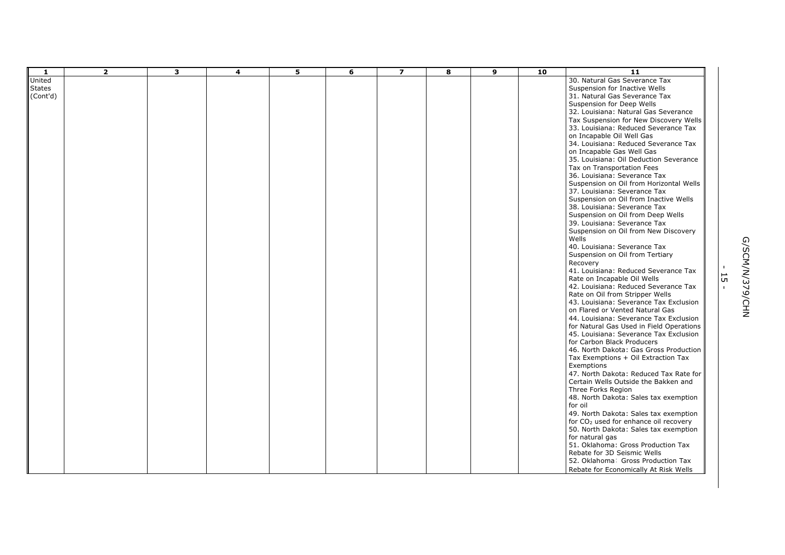| 1             | $\overline{2}$ | 3 | $\overline{\mathbf{4}}$ | 5 | 6 | $\overline{\mathbf{z}}$ | 8 | 9 | 10 | $\overline{11}$                                                      |              |                 |
|---------------|----------------|---|-------------------------|---|---|-------------------------|---|---|----|----------------------------------------------------------------------|--------------|-----------------|
| United        |                |   |                         |   |   |                         |   |   |    | 30. Natural Gas Severance Tax                                        |              |                 |
| <b>States</b> |                |   |                         |   |   |                         |   |   |    | Suspension for Inactive Wells                                        |              |                 |
| (Cont'd)      |                |   |                         |   |   |                         |   |   |    | 31. Natural Gas Severance Tax                                        |              |                 |
|               |                |   |                         |   |   |                         |   |   |    | Suspension for Deep Wells                                            |              |                 |
|               |                |   |                         |   |   |                         |   |   |    | 32. Louisiana: Natural Gas Severance                                 |              |                 |
|               |                |   |                         |   |   |                         |   |   |    | Tax Suspension for New Discovery Wells                               |              |                 |
|               |                |   |                         |   |   |                         |   |   |    | 33. Louisiana: Reduced Severance Tax                                 |              |                 |
|               |                |   |                         |   |   |                         |   |   |    | on Incapable Oil Well Gas                                            |              |                 |
|               |                |   |                         |   |   |                         |   |   |    | 34. Louisiana: Reduced Severance Tax                                 |              |                 |
|               |                |   |                         |   |   |                         |   |   |    | on Incapable Gas Well Gas                                            |              |                 |
|               |                |   |                         |   |   |                         |   |   |    | 35. Louisiana: Oil Deduction Severance                               |              |                 |
|               |                |   |                         |   |   |                         |   |   |    | Tax on Transportation Fees                                           |              |                 |
|               |                |   |                         |   |   |                         |   |   |    | 36. Louisiana: Severance Tax                                         |              |                 |
|               |                |   |                         |   |   |                         |   |   |    | Suspension on Oil from Horizontal Wells                              |              |                 |
|               |                |   |                         |   |   |                         |   |   |    | 37. Louisiana: Severance Tax                                         |              |                 |
|               |                |   |                         |   |   |                         |   |   |    | Suspension on Oil from Inactive Wells                                |              |                 |
|               |                |   |                         |   |   |                         |   |   |    | 38. Louisiana: Severance Tax                                         |              |                 |
|               |                |   |                         |   |   |                         |   |   |    | Suspension on Oil from Deep Wells                                    |              |                 |
|               |                |   |                         |   |   |                         |   |   |    | 39. Louisiana: Severance Tax<br>Suspension on Oil from New Discovery |              |                 |
|               |                |   |                         |   |   |                         |   |   |    | Wells                                                                |              |                 |
|               |                |   |                         |   |   |                         |   |   |    | 40. Louisiana: Severance Tax                                         |              | G/SCM/N/379/CHN |
|               |                |   |                         |   |   |                         |   |   |    | Suspension on Oil from Tertiary                                      |              |                 |
|               |                |   |                         |   |   |                         |   |   |    | Recovery                                                             |              |                 |
|               |                |   |                         |   |   |                         |   |   |    | 41. Louisiana: Reduced Severance Tax                                 |              |                 |
|               |                |   |                         |   |   |                         |   |   |    | Rate on Incapable Oil Wells                                          | 5            |                 |
|               |                |   |                         |   |   |                         |   |   |    | 42. Louisiana: Reduced Severance Tax                                 | $\mathbf{r}$ |                 |
|               |                |   |                         |   |   |                         |   |   |    | Rate on Oil from Stripper Wells                                      |              |                 |
|               |                |   |                         |   |   |                         |   |   |    | 43. Louisiana: Severance Tax Exclusion                               |              |                 |
|               |                |   |                         |   |   |                         |   |   |    | on Flared or Vented Natural Gas                                      |              |                 |
|               |                |   |                         |   |   |                         |   |   |    | 44. Louisiana: Severance Tax Exclusion                               |              |                 |
|               |                |   |                         |   |   |                         |   |   |    | for Natural Gas Used in Field Operations                             |              |                 |
|               |                |   |                         |   |   |                         |   |   |    | 45. Louisiana: Severance Tax Exclusion                               |              |                 |
|               |                |   |                         |   |   |                         |   |   |    | for Carbon Black Producers                                           |              |                 |
|               |                |   |                         |   |   |                         |   |   |    | 46. North Dakota: Gas Gross Production                               |              |                 |
|               |                |   |                         |   |   |                         |   |   |    | Tax Exemptions + Oil Extraction Tax                                  |              |                 |
|               |                |   |                         |   |   |                         |   |   |    | Exemptions                                                           |              |                 |
|               |                |   |                         |   |   |                         |   |   |    | 47. North Dakota: Reduced Tax Rate for                               |              |                 |
|               |                |   |                         |   |   |                         |   |   |    | Certain Wells Outside the Bakken and                                 |              |                 |
|               |                |   |                         |   |   |                         |   |   |    | Three Forks Region                                                   |              |                 |
|               |                |   |                         |   |   |                         |   |   |    | 48. North Dakota: Sales tax exemption                                |              |                 |
|               |                |   |                         |   |   |                         |   |   |    | for oil                                                              |              |                 |
|               |                |   |                         |   |   |                         |   |   |    | 49. North Dakota: Sales tax exemption                                |              |                 |
|               |                |   |                         |   |   |                         |   |   |    | for CO <sub>2</sub> used for enhance oil recovery                    |              |                 |
|               |                |   |                         |   |   |                         |   |   |    | 50. North Dakota: Sales tax exemption                                |              |                 |
|               |                |   |                         |   |   |                         |   |   |    | for natural gas                                                      |              |                 |
|               |                |   |                         |   |   |                         |   |   |    | 51. Oklahoma: Gross Production Tax                                   |              |                 |
|               |                |   |                         |   |   |                         |   |   |    | Rebate for 3D Seismic Wells                                          |              |                 |
|               |                |   |                         |   |   |                         |   |   |    | 52. Oklahoma: Gross Production Tax                                   |              |                 |
|               |                |   |                         |   |   |                         |   |   |    | Rebate for Economically At Risk Wells                                |              |                 |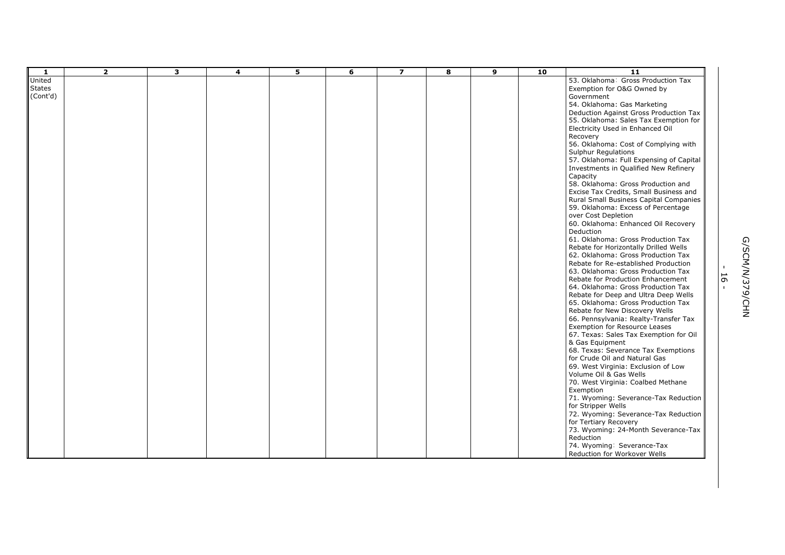| -1                                  | $\overline{2}$ | 3 | $\overline{\mathbf{4}}$ | 5 | 6 | $\overline{\mathbf{z}}$ | 8 | 9 | 10 | $\overline{11}$                                                                                                                                                                                                                                                                                                                                                                                                                                                                                                                                                                                                                                                                                                                                                                                                                                                                                                                                                                                                                                                                                                                                                                                                                                                                                                                                                                                                                                                         |                    |                 |
|-------------------------------------|----------------|---|-------------------------|---|---|-------------------------|---|---|----|-------------------------------------------------------------------------------------------------------------------------------------------------------------------------------------------------------------------------------------------------------------------------------------------------------------------------------------------------------------------------------------------------------------------------------------------------------------------------------------------------------------------------------------------------------------------------------------------------------------------------------------------------------------------------------------------------------------------------------------------------------------------------------------------------------------------------------------------------------------------------------------------------------------------------------------------------------------------------------------------------------------------------------------------------------------------------------------------------------------------------------------------------------------------------------------------------------------------------------------------------------------------------------------------------------------------------------------------------------------------------------------------------------------------------------------------------------------------------|--------------------|-----------------|
| United<br><b>States</b><br>(Cont'd) |                |   |                         |   |   |                         |   |   |    | 53. Oklahoma: Gross Production Tax<br>Exemption for O&G Owned by<br>Government<br>54. Oklahoma: Gas Marketing<br>Deduction Against Gross Production Tax<br>55. Oklahoma: Sales Tax Exemption for<br>Electricity Used in Enhanced Oil<br>Recovery<br>56. Oklahoma: Cost of Complying with<br><b>Sulphur Regulations</b><br>57. Oklahoma: Full Expensing of Capital<br>Investments in Qualified New Refinery<br>Capacity<br>58. Oklahoma: Gross Production and<br>Excise Tax Credits, Small Business and<br>Rural Small Business Capital Companies<br>59. Oklahoma: Excess of Percentage<br>over Cost Depletion<br>60. Oklahoma: Enhanced Oil Recovery<br>Deduction<br>61. Oklahoma: Gross Production Tax<br>Rebate for Horizontally Drilled Wells<br>62. Oklahoma: Gross Production Tax<br>Rebate for Re-established Production<br>63. Oklahoma: Gross Production Tax<br>Rebate for Production Enhancement<br>64. Oklahoma: Gross Production Tax<br>Rebate for Deep and Ultra Deep Wells<br>65. Oklahoma: Gross Production Tax<br>Rebate for New Discovery Wells<br>66. Pennsylvania: Realty-Transfer Tax<br><b>Exemption for Resource Leases</b><br>67. Texas: Sales Tax Exemption for Oil<br>& Gas Equipment<br>68. Texas: Severance Tax Exemptions<br>for Crude Oil and Natural Gas<br>69. West Virginia: Exclusion of Low<br>Volume Oil & Gas Wells<br>70. West Virginia: Coalbed Methane<br>Exemption<br>71. Wyoming: Severance-Tax Reduction<br>for Stripper Wells | 16<br>$\mathbf{I}$ | G/SCM/N/379/CHN |
|                                     |                |   |                         |   |   |                         |   |   |    | 72. Wyoming: Severance-Tax Reduction<br>for Tertiary Recovery<br>73. Wyoming: 24-Month Severance-Tax<br>Reduction<br>74. Wyoming: Severance-Tax                                                                                                                                                                                                                                                                                                                                                                                                                                                                                                                                                                                                                                                                                                                                                                                                                                                                                                                                                                                                                                                                                                                                                                                                                                                                                                                         |                    |                 |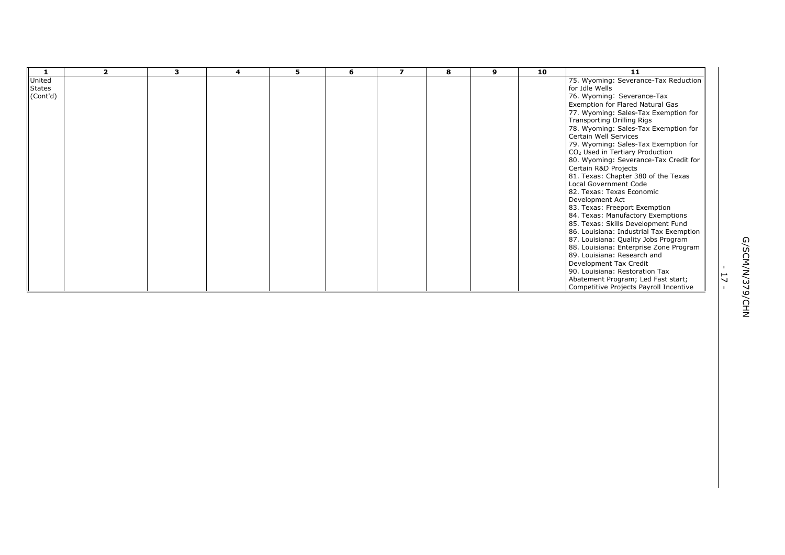|          | $\overline{\mathbf{z}}$ | з | 4 | 5 | 6 | $\overline{\phantom{a}}$ | 8 | 9 | 10 | 11                                                 |                               |           |
|----------|-------------------------|---|---|---|---|--------------------------|---|---|----|----------------------------------------------------|-------------------------------|-----------|
| United   |                         |   |   |   |   |                          |   |   |    | 75. Wyoming: Severance-Tax Reduction               |                               |           |
| States   |                         |   |   |   |   |                          |   |   |    | for Idle Wells                                     |                               |           |
| (Cont'd) |                         |   |   |   |   |                          |   |   |    | 76. Wyoming: Severance-Tax                         |                               |           |
|          |                         |   |   |   |   |                          |   |   |    | Exemption for Flared Natural Gas                   |                               |           |
|          |                         |   |   |   |   |                          |   |   |    | 77. Wyoming: Sales-Tax Exemption for               |                               |           |
|          |                         |   |   |   |   |                          |   |   |    | Transporting Drilling Rigs                         |                               |           |
|          |                         |   |   |   |   |                          |   |   |    | 78. Wyoming: Sales-Tax Exemption for               |                               |           |
|          |                         |   |   |   |   |                          |   |   |    | Certain Well Services                              |                               |           |
|          |                         |   |   |   |   |                          |   |   |    | 79. Wyoming: Sales-Tax Exemption for               |                               |           |
|          |                         |   |   |   |   |                          |   |   |    | CO <sub>2</sub> Used in Tertiary Production        |                               |           |
|          |                         |   |   |   |   |                          |   |   |    | 80. Wyoming: Severance-Tax Credit for              |                               |           |
|          |                         |   |   |   |   |                          |   |   |    | Certain R&D Projects                               |                               |           |
|          |                         |   |   |   |   |                          |   |   |    | 81. Texas: Chapter 380 of the Texas                |                               |           |
|          |                         |   |   |   |   |                          |   |   |    | Local Government Code<br>82. Texas: Texas Economic |                               |           |
|          |                         |   |   |   |   |                          |   |   |    | Development Act                                    |                               |           |
|          |                         |   |   |   |   |                          |   |   |    | 83. Texas: Freeport Exemption                      |                               |           |
|          |                         |   |   |   |   |                          |   |   |    | 84. Texas: Manufactory Exemptions                  |                               |           |
|          |                         |   |   |   |   |                          |   |   |    | 85. Texas: Skills Development Fund                 |                               |           |
|          |                         |   |   |   |   |                          |   |   |    | 86. Louisiana: Industrial Tax Exemption            |                               |           |
|          |                         |   |   |   |   |                          |   |   |    | 87. Louisiana: Quality Jobs Program                |                               |           |
|          |                         |   |   |   |   |                          |   |   |    | 88. Louisiana: Enterprise Zone Program             |                               |           |
|          |                         |   |   |   |   |                          |   |   |    | 89. Louisiana: Research and                        |                               |           |
|          |                         |   |   |   |   |                          |   |   |    | Development Tax Credit                             |                               | G/SCM/    |
|          |                         |   |   |   |   |                          |   |   |    | 90. Louisiana: Restoration Tax                     |                               |           |
|          |                         |   |   |   |   |                          |   |   |    | Abatement Program; Led Fast start;                 | ⊢<br>$\overline{\phantom{0}}$ | Κ)        |
|          |                         |   |   |   |   |                          |   |   |    | Competitive Projects Payroll Incentive             |                               |           |
|          |                         |   |   |   |   |                          |   |   |    |                                                    |                               | 9         |
|          |                         |   |   |   |   |                          |   |   |    |                                                    |                               | CHN<br>NH |
|          |                         |   |   |   |   |                          |   |   |    |                                                    |                               |           |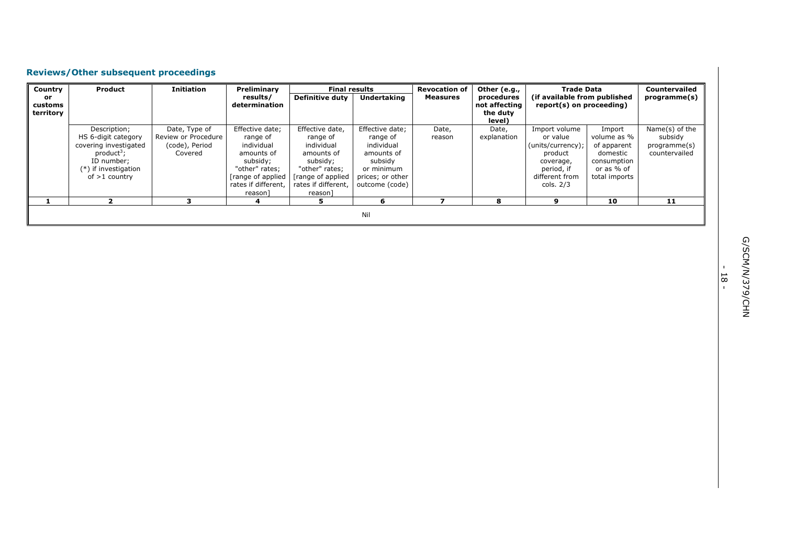# **Reviews/Other subsequent proceedings**

| Country   | <b>Product</b>         | <b>Initiation</b>   | Preliminary         | <b>Final results</b>   |                    | <b>Revocation of</b> | Other (e.g.,  | <b>Trade Data</b>            |               | <b>Countervailed</b> |
|-----------|------------------------|---------------------|---------------------|------------------------|--------------------|----------------------|---------------|------------------------------|---------------|----------------------|
| or        |                        |                     | results/            | <b>Definitive duty</b> | <b>Undertaking</b> | <b>Measures</b>      | procedures    | (if available from published |               | programme(s)         |
| customs   |                        |                     | determination       |                        |                    |                      | not affecting | report(s) on proceeding)     |               |                      |
| territory |                        |                     |                     |                        |                    |                      | the duty      |                              |               |                      |
|           |                        |                     |                     |                        |                    |                      | level)        |                              |               |                      |
|           | Description;           | Date, Type of       | Effective date;     | Effective date,        | Effective date;    | Date,                | Date,         | Import volume                | Import        | Name(s) of the       |
|           | HS 6-digit category    | Review or Procedure | range of            | range of               | range of           | reason               | explanation   | or value                     | volume as %   | subsidy              |
|           | covering investigated  | (code), Period      | individual          | individual             | individual         |                      |               | (units/currency);            | of apparent   | programme(s)         |
|           | product <sup>3</sup> ; | Covered             | amounts of          | amounts of             | amounts of         |                      |               | product                      | domestic      | countervailed        |
|           | ID number:             |                     | subsidy;            | subsidy;               | subsidy            |                      |               | coverage,                    | consumption   |                      |
|           | (*) if investigation   |                     | "other" rates;      | "other" rates;         | or minimum         |                      |               | period, if                   | or as % of    |                      |
|           | of $>1$ country        |                     | [range of applied   | range of applied       | prices; or other   |                      |               | different from               | total imports |                      |
|           |                        |                     | rates if different. | rates if different,    | outcome (code)     |                      |               | cols. 2/3                    |               |                      |
|           |                        |                     | reason]             | reason]                |                    |                      |               |                              |               |                      |
|           |                        |                     |                     |                        | n                  |                      | 8             | q                            | 10            | 11                   |
|           |                        |                     |                     |                        |                    |                      |               |                              |               |                      |
|           |                        |                     |                     |                        | Nil                |                      |               |                              |               |                      |

- 18 -